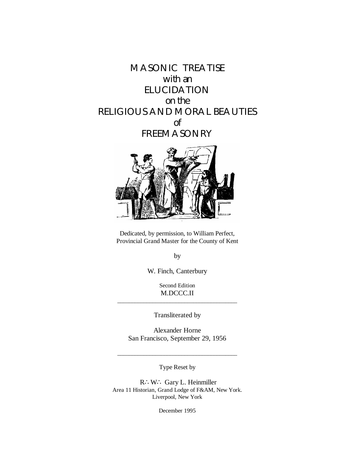



Dedicated, by permission, to William Perfect, Provincial Grand Master for the County of Kent

by

W. Finch, Canterbury

Second Edition M.DCCC.II \_\_\_\_\_\_\_\_\_\_\_\_\_\_\_\_\_\_\_\_\_\_\_\_\_\_\_\_\_\_\_\_\_\_\_\_\_\_\_\_\_

Transliterated by

Alexander Horne San Francisco, September 29, 1956

Type Reset by

\_\_\_\_\_\_\_\_\_\_\_\_\_\_\_\_\_\_\_\_\_\_\_\_\_\_\_\_\_\_\_\_\_\_\_\_\_\_\_\_\_

 R∴W∴ Gary L. Heinmiller Area 11 Historian, Grand Lodge of F&AM, New York. Liverpool, New York

December 1995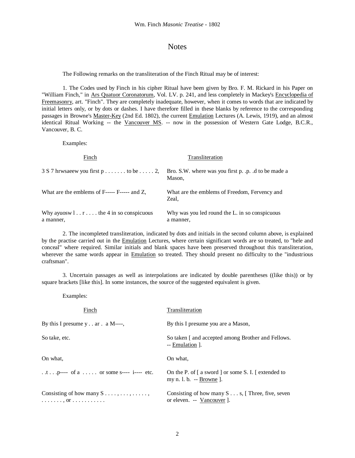# Notes

The Following remarks on the transliteration of the Finch Ritual may be of interest:

 1. The Codes used by Finch in his cipher Ritual have been given by Bro. F. M. Rickard in his Paper on "William Finch," in Ars Quatuor Coronatorum, Vol. LV. p. 241, and less completely in Mackey's Encyclopedia of Freemasonry, art. "Finch". They are completely inadequate, however, when it comes to words that are indicated by initial letters only, or by dots or dashes. I have therefore filled in these blanks by reference to the corresponding passages in Browne's Master-Key (2nd Ed. 1802), the current Emulation Lectures (A. Lewis, 1919), and an almost identical Ritual Working -- the Vancouver MS. -- now in the possession of Western Gate Lodge, B.C.R., Vancouver, B. C.

Examples:

| Finch                                                               | Transliteration                                                |
|---------------------------------------------------------------------|----------------------------------------------------------------|
| $3 S 7$ hrws a eew you first p to be 2,                             | Bro. S.W. where was you first p. .p. .d to be made a<br>Mason. |
| What are the emblems of $F$ ----- $F$ ----- and $Z$ ,               | What are the emblems of Freedom, Fervency and<br>Zeal,         |
| Why ayuosw $1 \ldots r \ldots$ the 4 in so conspicuous<br>a manner, | Why was you led round the L. in so conspicuous<br>a manner,    |

 2. The incompleted transliteration, indicated by dots and initials in the second column above, is explained by the practise carried out in the Emulation Lectures, where certain significant words are so treated, to "hele and conceal" where required. Similar initials and blank spaces have been preserved throughout this transliteration, wherever the same words appear in **Emulation** so treated. They should present no difficulty to the "industrious craftsman".

 3. Uncertain passages as well as interpolations are indicated by double parentheses ((like this)) or by square brackets [like this]. In some instances, the source of the suggested equivalent is given.

Examples:

| Finch                                                        | Transliteration                                                                                        |
|--------------------------------------------------------------|--------------------------------------------------------------------------------------------------------|
| By this I presume $y \cdot a$ and $M$ ----,                  | By this I presume you are a Mason,                                                                     |
| So take, etc.                                                | So taken [ and accepted among Brother and Fellows.<br>-- Emulation 1.                                  |
| On what,                                                     | On what,                                                                                               |
| . .tp---- of a  or some s---- i---- etc.                     | On the P. of $\lceil$ a sword $\rceil$ or some S. I. $\lceil$ extended to<br>my n. l. b. $-$ Browne ]. |
| Consisting of how many $S \ldots, \ldots, \ldots,$<br>. , Of | Consisting of how many $S \dots s$ , [ Three, five, seven<br>or eleven. -- Vancouver  .                |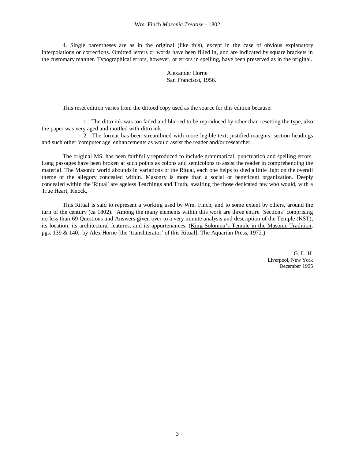4. Single parentheses are as in the original (like this), except in the case of obvious explanatory interpolations or corrections. Omitted letters or words have been filled in, and are indicated by square brackets in the customary manner. Typographical errors, however, or errors in spelling, have been preserved as in the original.

> Alexander Horne San Francisco, 1956.

This reset edition varies from the dittoed copy used as the source for this edition because:

 1. The ditto ink was too faded and blurred to be reproduced by other than resetting the type, also the paper was very aged and mottled with ditto ink.

 2. The format has been streamlined with more legible text, justified margins, section headings and such other 'computer age' enhancements as would assist the reader and/or researcher.

 The original MS. has been faithfully reproduced to include grammatical, punctuation and spelling errors. Long passages have been broken at such points as colons and semicolons to assist the reader in comprehending the material. The Masonic world abounds in variations of the Ritual, each one helps to shed a little light on the overall theme of the allegory concealed within. Masonry is more than a social or beneficent organization. Deeply concealed within the 'Ritual' are ageless Teachings and Truth, awaiting the those dedicated few who would, with a True Heart, Knock.

 This Ritual is said to represent a working used by Wm. Finch, and to some extent by others, around the turn of the century (ca 1802). Among the many elements within this work are three entire 'Sections' comprising no less than 69 Questions and Answers given over to a very minute analysis and description of the Temple (KST), its location, its architectural features, and its appurtenances. (King Solomon's Temple in the Masonic Tradition, pgs. 139 & 140, by Alex Horne [the 'transliterator' of this Ritual], The Aquarian Press, 1972.)

> G. L. H. Liverpool, New York December 1995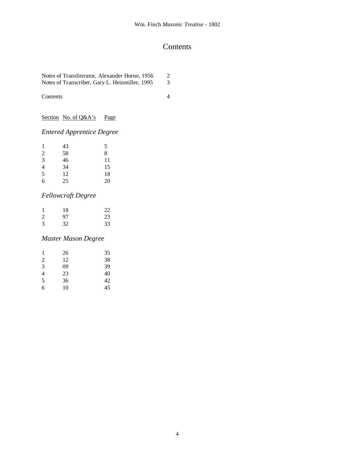# Contents

Notes of Transliterator, Alexander Horne, 1956 2 Notes of Transcriber, Gary L. Heinmiller, 1995 3

Contents 4

Section No. of Q&A's Page

# *Entered Apprentice Degree*

| 1              | 43 | 5  |
|----------------|----|----|
| $\overline{2}$ | 58 | 8  |
| 3              | 46 | 11 |
| 4              | 34 | 15 |
| 5              | 12 | 18 |
| 6              | 25 | 20 |

# *Fellowcraft Degree*

| $\mathbf{1}$ | 18 | 22 |
|--------------|----|----|
| 2            | 97 | 23 |
| 3            | 32 | 33 |

## *Master Mason Degree*

| 1              | 26 | 35 |
|----------------|----|----|
| $\overline{2}$ | 12 | 38 |
| 3              | 09 | 39 |
| 4              | 23 | 40 |
| 5              | 36 | 42 |
| 6              | 10 | 45 |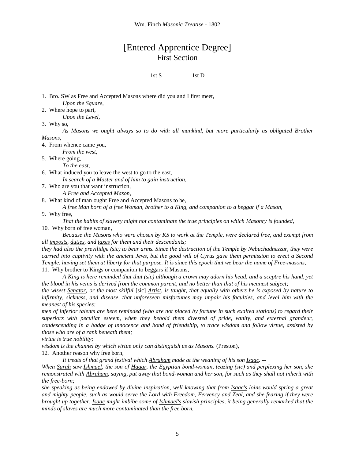# [Entered Apprentice Degree] First Section

 $1st S$  1st D

- 1. Bro. SW as Free and Accepted Masons where did you and I first meet, *Upon the Square,*
- 2. Where hope to part, *Upon the Level,*
- 3. Why so,
- *As Masons we ought always so to do with all mankind, but more particularly as obligated Brother Masons,*
- 4. From whence came you,

*From the west,*

5. Where going,

*To the east,*

- 6. What induced you to leave the west to go to the east, *In search of a Master and of him to gain instruction,*
- 7. Who are you that want instruction,
	- *A Free and Accepted Mason,*
- 8. What kind of man ought Free and Accepted Masons to be,
	- *A free Man born of a free Woman, brother to a King, and companion to a beggar if a Mason,*
- 9. Why free,

 *That the habits of slavery might not contaminate the true principles on which Masonry is founded,* 10. Why born of free woman,

*Because the Masons who were chosen by KS to work at the Temple, were declared free, and exempt from all imposts, duties, and taxes for them and their descendants;*

*they had also the previlidge (sic) to bear arms. Since the destruction of the Temple by Nebuchadnezzar, they were carried into captivity with the ancient Jews, but the good will of Cyrus gave them permission to erect a Second Temple, having set them at liberty for that purpose. It is since this epoch that we bear the name of Free-masons,* 11. Why brother to Kings or companion to beggars if Masons,

*A King is here reminded that that (sic) although a crown may adorn his head, and a sceptre his hand, yet the blood in his veins is derived from the common parent, and no better than that of his meanest subject;*

*the wisest Senator, or the most skilful* [sic] *Artist, is taught, that equally with others he is exposed by nature to infirmity, sickness, and disease, that unforeseen misfortunes may impair his faculties, and level him with the meanest of his species:*

*men of inferior talents are here reminded (who are not placed by fortune in such exalted stations) to regard their superiors with peculiar esteem, when they behold them divested of pride, vanity, and external grandeur, condescending in a badge of innocence and bond of friendship, to trace wisdom and follow virtue, assisted by those who are of a rank beneath them;*

*virtue is true nobility;*

wisdom is the channel by which virtue only can distinguish us as Masons. (Preston),

12. Another reason why free born,

*It treats of that grand festival which Abraham made at the weaning of his son Isaac. --*

*When Sarah saw Ishmael, the son of Hagar, the Egyptian bond-woman, teazing (sic) and perplexing her son, she remonstrated with Abraham, saying, put away that bond-woman and her son, for such as they shall not inherit with the free-born;*

*she speaking as being endowed by divine inspiration, well knowing that from Isaac's loins would spring a great and mighty people, such as would serve the Lord with Freedom, Fervency and Zeal, and she fearing if they were brought up together, Isaac might imbibe some of Ishmael's slavish principles, it being generally remarked that the minds of slaves are much more contaminated than the free born,*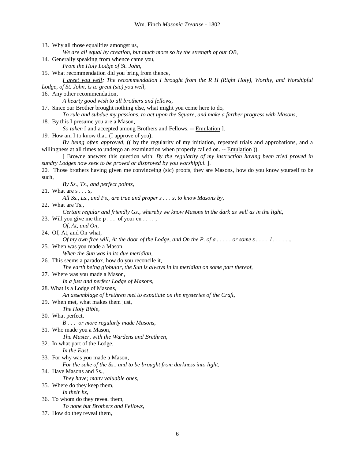|       | 13. Why all those equalities amongst us,                                                                                  |
|-------|---------------------------------------------------------------------------------------------------------------------------|
|       | We are all equal by creation, but much more so by the strength of our OB,<br>14. Generally speaking from whence came you, |
|       | From the Holy Lodge of St. John,                                                                                          |
|       | 15. What recommendation did you bring from thence,                                                                        |
|       | <i>I greet you well; The recommendation I brought from the R H (Right Holy), Worthy, and Worshipful</i>                   |
|       | Lodge, of St. John, is to great (sic) you well,                                                                           |
|       | 16. Any other recommendation,                                                                                             |
|       | A hearty good wish to all brothers and fellows,                                                                           |
|       | 17. Since our Brother brought nothing else, what might you come here to do,                                               |
|       | To rule and subdue my passions, to act upon the Square, and make a farther progress with Masons,                          |
|       | 18. By this I presume you are a Mason,                                                                                    |
|       | So taken [ and accepted among Brothers and Fellows. -- Emulation ].                                                       |
|       | 19. How am I to know that, ( <i>I approve of you</i> ),                                                                   |
|       | By being often approved, (( by the regularity of my initiation, repeated trials and approbations, and a                   |
|       | willingness at all times to undergo an examination when properly called on. -- Emulation )).                              |
|       | [ Browne answers this question with: By the regularity of my instruction having been tried proved in                      |
|       | sundry Lodges now seek to be proved or disproved by you worshipful. ].                                                    |
|       | 20. Those brothers having given me convinceing (sic) proofs, they are Masons, how do you know yourself to be              |
| such, |                                                                                                                           |
|       | By Ss., Ts., and perfect points,                                                                                          |
|       | 21. What are $s \dots s$ ,                                                                                                |
|       | All Ss., Ls., and Ps., are true and proper s s, to know Masons by,                                                        |
|       | 22. What are Ts.,                                                                                                         |
|       | Certain regular and friendly Gs., whereby we know Masons in the dark as well as in the light,                             |
|       | 23. Will you give me the p of your en ,                                                                                   |
|       | Of, At, and On,                                                                                                           |
|       | 24. Of, At, and On what,                                                                                                  |
|       | Of my own free will, At the door of the Lodge, and On the P. of $a$ or some $s$ $l$                                       |
|       | 25. When was you made a Mason,                                                                                            |
|       | When the Sun was in its due meridian,                                                                                     |
|       | 26. This seems a paradox, how do you reconcile it,                                                                        |
|       | The earth being globular, the Sun is <i>always</i> in its meridian on some part thereof,                                  |
|       | 27. Where was you made a Mason,                                                                                           |
|       | In a just and perfect Lodge of Masons,                                                                                    |
|       | 28. What is a Lodge of Masons,                                                                                            |
|       | An assemblage of brethren met to expatiate on the mysteries of the Craft,                                                 |
|       | 29. When met, what makes them just,                                                                                       |
|       | The Holy Bible,                                                                                                           |
|       | 30. What perfect,                                                                                                         |
|       | B or more regularly made Masons,                                                                                          |
|       | 31. Who made you a Mason,                                                                                                 |
|       | The Master, with the Wardens and Brethren,                                                                                |
|       | 32. In what part of the Lodge,                                                                                            |
|       | In the East,                                                                                                              |
|       | 33. For why was you made a Mason,                                                                                         |
|       | For the sake of the Ss., and to be brought from darkness into light,                                                      |
|       | 34. Have Masons and Ss.,                                                                                                  |
|       | They have; many valuable ones,                                                                                            |
|       | 35. Where do they keep them,                                                                                              |
|       | In their hs,                                                                                                              |
|       | 36. To whom do they reveal them,                                                                                          |
|       | To none but Brothers and Fellows,                                                                                         |
|       | 37. How do they reveal them,                                                                                              |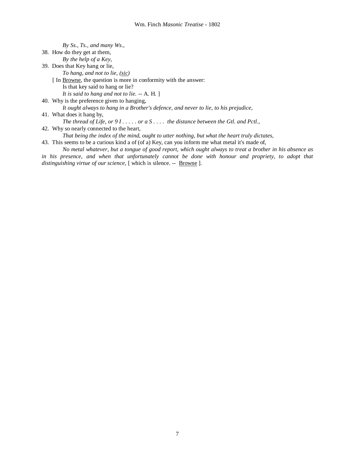*By Ss., Ts., and many Ws.,* 38. How do they get at them, *By the help of a Key,* 39. Does that Key hang or lie, *To hang, and not to lie, (sic)* [In <u>Browne</u>, the question is more in conformity with the answer: Is that key said to hang or lie? *It is said to hang and not to lie. --* A*.* H*.* ] 40. Why is the preference given to hanging, *It ought always to hang in a Brother's defence, and never to lie, to his prejudice,* 41. What does it hang by, *The thread of Life, or 9 I . . . . . or a S . . . . the distance between the Gtl. and Pctl.,* 42. Why so nearly connected to the heart, *That being the index of the mind, ought to utter nothing, but what the heart truly dictates,* 43. This seems to be a curious kind a of (of a) Key, can you inform me what metal it's made of,

*No metal whatever, but a tongue of good report, which ought always to treat a brother in his absence as in his presence, and when that unfortunately cannot be done with honour and propriety, to adopt that distinguishing virtue of our science,* [ which is silence. -- Browne ].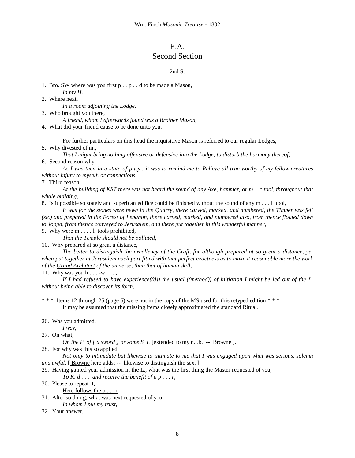## E.A.

### Second Section

2nd S.

- 1. Bro. SW where was you first p . . p . . d to be made a Mason, *In my H.*
- 2. Where next,

*In a room adjoining the Lodge,*

- 3. Who brought you there, *A friend, whom I afterwards found was a Brother Mason,*
- 4. What did your friend cause to be done unto you,

For further particulars on this head the inquisitive Mason is referred to our regular Lodges,

5. Why divested of m.,

*That I might bring nothing offensive or defensive into the Lodge, to disturb the harmony thereof,* 6. Second reason why,

*As I was then in a state of p.v.y., it was to remind me to Relieve all true worthy of my fellow creatures without injury to myself, or connections,*

7. Third reason,

*At the building of KST there was not heard the sound of any Axe, hammer, or m . .c tool, throughout that whole building,*

8. Is it possible so stately and superb an edifice could be finished without the sound of any m . . . l tool,

*It was for the stones were hewn in the Quarry, there carved, marked, and numbered, the Timber was fell (sic) and prepared in the Forest of Lebanon, there carved, marked, and numbered also, from thence floated down to Joppa, from thence conveyed to Jerusalem, and there put together in this wonderful manner,*

9. Why were m . . . . l tools prohibited,

*That the Temple should not be polluted,*

10. Why prepared at so great a distance,

*The better to distinguish the excellency of the Craft, for although prepared at so great a distance, yet when put together at Jerusalem each part fitted with that perfect exactness as to make it reasonable more the work of the Grand Architect of the universe, than that of human skill,*

11. Why was you  $h \dots -w \dots$ 

*If I had refused to have experience((d)) the usual ((method)) of initiation I might be led out of the L. without being able to discover its form,*

\* \* \* Items 12 through 25 (page 6) were not in the copy of the MS used for this retyped edition \* \* \* It may be assumed that the missing items closely approximated the standard Ritual.

26. Was you admitted,

*I was,*

27. On what,

*On the P. of [ a sword ] or some S. I.* [extended to my n.l.b. -- Browne ].

28. For why was this so applied,

*Not only to intimidate but likewise to intimate to me that I was engaged upon what was serious, solemn and awful,* [*Browne here adds: -- likewise to distinguish the sex.* ].

29. Having gained your admission in the L., what was the first thing the Master requested of you,

*To K. d . . . and receive the benefit of a p . . . r,*

30. Please to repeat it,

Here follows the p . . . r,

- 31. After so doing, what was next requested of you,
- *In whom I put my trust,*
- 32. Your answer,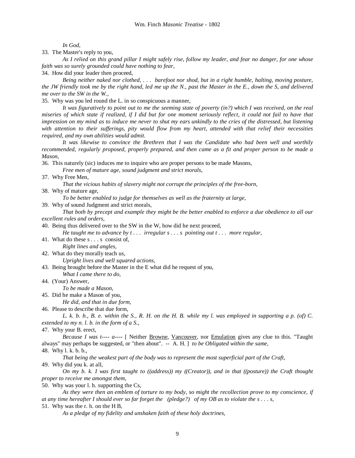*In God,*

33. The Master's reply to you,

*As I relied on this grand pillar I might safely rise, follow my leader, and fear no danger, for one whose faith was so surely grounded could have nothing to fear,*

34. How did your leader then proceed,

 *Being neither naked nor clothed, . . . barefoot nor shod, but in a right humble, halting, moving posture, the JW friendly took me by the right hand, led me up the N., past the Master in the E., down the S, and delivered me over to the SW in the W.,*

35. Why was you led round the L. in so conspicuous a manner,

*It was figuratively to point out to me the seeming state of poverty (in?) which I was received, on the real miseries of which state if realized, if I did but for one moment seriously reflect, it could not fail to have that impression on my mind as to induce me never to shut my ears unkindly to the cries of the distressed, but listening with attention to their sufferings, pity would flow from my heart, attended with that relief their necessities required, and my own abilities would admit.*

 *It was likewise to convince the Brethren that I was the Candidate who had been well and worthily recommended, regularly proposed, properly prepared, and then came as a fit and proper person to be made a Mason,*

36. This naturely (sic) induces me to inquire who are proper persons to be made Masons,

*Free men of mature age, sound judgment and strict morals,*

37. Why Free Men,

*That the vicious habits of slavery might not corrupt the principles of the free-born,*

38. Why of mature age,

*To be better enabled to judge for themselves as well as the fraternity at large,*

39. Why of sound Judgment and strict morals,

*That both by precept and example they might be the better enabled to enforce a due obedience to all our excellent rules and orders,*

40. Being thus delivered over to the SW in the W, how did he next proceed,

*He taught me to advance by t . . . irregular s . . . s pointing out t . . . more regular,*

- 41. What do these s . . . s consist of, *Right lines and angles,*
- 42. What do they morally teach us, *Upright lives and well squared actions,*
- 43. Being brought before the Master in the E what did he request of you,

*What I came there to do,*

44. (Your) Answer,

*To be made a Mason,*

- 45. Did he make a Mason of you,
	- *He did, and that in due form,*
- 46. Please to describe that due form,

*L. k. b. b., B. e. within the S., R. H. on the H. B. while my l. was employed in supporting a p. (of) C. extended to my n. l. b. in the form of a S.,*

47. Why your B. erect,

 *Because I was t---- a----* [ Neither Browne, Vancouver, nor Emulation gives any clue to this. "Taught always" may perhaps be suggested, or "then about". -- A. H. ] *to be Obligated within the same,*

#### 48. Why l. k. b. b.,

*That being the weakest part of the body was to represent the most superficial part of the Craft,*

49. Why did you k. at all,

*On my b. k. I was first taught to ((address)) my ((Creator)), and in that ((posture)) the Craft thought proper to receive me amongst them,*

50. Why was your l. h. supporting the Cs,

*As they were then an emblem of torture to my body, so might the recollection prove to my conscience, if at any time hereafter I should ever so far forget the (pledge?) of my OB as to violate the s . . . s,*

#### 51. Why was the r. h. on the H B,

*As a pledge of my fidelity and unshaken faith of these holy doctrines,*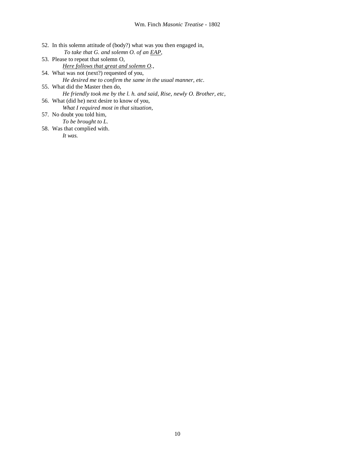- 52. In this solemn attitude of (body?) what was you then engaged in,  *To take that G. and solemn O. of an EAP,*
- 53. Please to repeat that solemn O, *Here follows that great and solemn O.,*
- 54. What was not (next?) requested of you, *He desired me to confirm the same in the usual manner, etc.*
- 55. What did the Master then do, *He friendly took me by the l. h. and said, Rise, newly O. Brother, etc,*
- 56. What (did he) next desire to know of you, *What I required most in that situation,*
- 57. No doubt you told him, *To be brought to L.*
- 58. Was that complied with.

*It was.*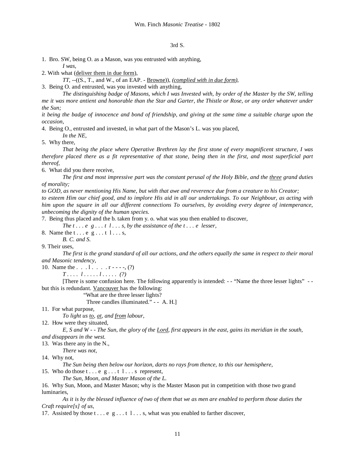#### 3rd S.

1. Bro. SW, being O. as a Mason, was you entrusted with anything, *I was,*

2. With what (deliver them in due form),

*TT,* --((S., T., and W., of an EAP. - Browne)), *(complied with in due form),*

3. Being O. and entrusted, was you invested with anything,

*The distinguishing badge of Masons, which I was Invested with, by order of the Master by the SW, telling me it was more antient and honorable than the Star and Garter, the Thistle or Rose, or any order whatever under the Sun;*

*it being the badge of innocence and bond of friendship, and giving at the same time a suitable charge upon the occasion,*

4. Being O., entrusted and invested, in what part of the Mason's L. was you placed,

*In the NE,*

5. Why there,

*That being the place where Operative Brethren lay the first stone of every magnificent structure, I was therefore placed there as a fit representative of that stone, being then in the first, and most superficial part thereof,*

6. What did you there receive,

*The first and most impressive part was the constant perusal of the Holy Bible, and the three grand duties of morality;*

*to GOD, as never mentioning His Name, but with that awe and reverence due from a creature to his Creator;*

*to esteem Him our chief good, and to implore His aid in all our undertakings. To our Neighbour, as acting with him upon the square in all our different connections To ourselves, by avoiding every degree of intemperance, unbecoming the dignity of the human species.*

7. Being thus placed and the b. taken from y. o. what was you then enabled to discover,

*The t . . . e g . . . t l . . . s, by the assistance of the t . . . e lesser,*

8. Name the  $t \dots e \, g \dots t \, 1 \dots s$ ,

*B. C. and S.*

9. Their uses,

 *The first is the grand standard of all our actions, and the others equally the same in respect to their moral and Masonic tendency,*

10. Name the . . .  $1 \cdot \cdot \cdot$  r - - - -, (?)

 *T . . . . l . . . . . l . . . . . (?)*

[There is some confusion here. The following apparently is intended: - - "Name the three lesser lights" - but this is redundant. Vancouver has the following:

"What are the three lesser lights?

Three candles illuminated." - - A. H.]

11. For what purpose,

*To light us to, at, and from labour,*

12. How were they situated,

*E, S and W - - The Sun, the glory of the Lord, first appears in the east, gains its meridian in the south, and disappears in the west.*

13. Was there any in the N.,

*There was not,*

14. Why not,

 *The Sun being then below our horizon, darts no rays from thence, to this our hemisphere,*

15. Who do those  $t \dots e \, g \dots t \, 1 \dots s$  represent,

*The Sun, Moon, and Master Mason of the L.*

16. Why Sun, Moon, and Master Mason; why is the Master Mason put in competition with those two grand luminaries,

*As it is by the blessed influence of two of them that we as men are enabled to perform those duties the Craft require[s] of us,*

17. Assisted by those  $t \dots e \, g \dots t \, 1 \dots s$ , what was you enabled to farther discover,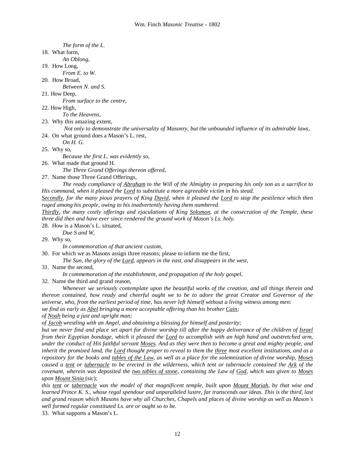*The form of the L.*

18. What form,

*An Oblong,*

19. How Long,

*From E. to W.*

20. How Broad,

*Between N. and S.*

21. How Deep,

*From surface to the centre,*

22. How High,

*To the Heavens,*

23. Why this amazing extent,

 *Not only to demonstrate the universality of Masonry, but the unbounded influence of its admirable laws,* 24. On what ground does a Mason's L. rest,

*On H. G.*

25. Why so,

 *Because the first L. was evidently so,*

26. What made that ground H.

*The Three Grand Offerings thereon offered,*

27. Name those Three Grand Offerings,

*The ready compliance of Abraham to the Will of the Almighty in preparing his only son as a sacrifice to His command, when it pleased the Lord to substitute a more agreeable victim in his stead.*

*Secondly, for the many pious prayers of King David, when it pleased the Lord to stop the pestilence which then raged among his people, owing to his inadvertently having them numbered.*

*Thirdly, the many costly offerings and ejaculations of King Solomon, at the consecration of the Temple, these three did then and have ever since rendered the ground work of Mason's Ls. holy.* 

28. How is a Mason's L. situated,

*Due S and W,*

29. Why so,

*In commemoration of that ancient custom,*

30. For which we as Masons assign three reasons; please to inform me the first,

*The Sun, the glory of the Lord, appears in the east, and disappears in the west,*

31. Name the second,

*In commemoration of the establishment, and propagation of the holy gospel,*

32. Name the third and grand reason,

*Whenever we seriously contemplate upon the beautiful works of the creation, and all things therein and thereon contained, how ready and cheerful ought we to be to adore the great Creator and Governor of the universe, who, from the earliest period of time, has never left himself without a living witness among men: we find as early as Abel bringing a more acceptable offering than his brother Cain;*

*of Noah being a just and upright man;*

*of Jacob wrestling with an Angel, and obtaining a blessing for himself and posterity;*

*but we never find and place set apart for divine worship till after the happy deliverance of the children of Israel from their Egyptian bondage, which it pleased the Lord to accomplish with an high hand and outstretched arm, under the conduct of His faithful servant Moses. And as they were then to become a great and mighty people, and inherit the promised land, the Lord thought proper to reveal to them the three most excellent institutions, and as a repository for the books and tables of the Law, as well as a place for the solemnization of divine worship, Moses caused a tent or tabernacle to be erected in the wilderness, which tent or tabernacle contained the Ark of the covenant, wherein was deposited the two tables of stone, containing the Law of God, which was given to Moses upon Mount Sinia* (sic);

*this tent or tabernacle was the model of that magnificent temple, built upon Mount Moriah, by that wise and learned Prince K. S., whose regal spendour and unparalleled lustre, far transcends our ideas. This is the third, last and grand reason which Masons have why all Churches, Chapels and places of divine worship as well as Mason's well formed regular constituted Ls. are or ought so to be.*

33. What supports a Mason's L.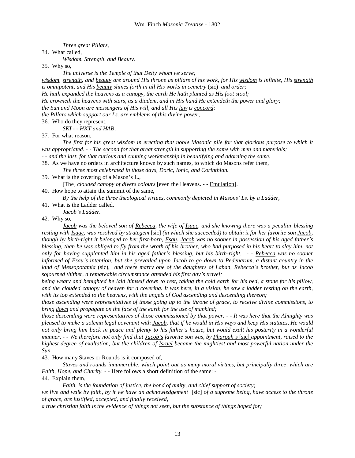*Three great Pillars,*

34. What called,

*Wisdom, Strength, and Beauty.*

35. Why so,

*The universe is the Temple of that Deity whom we serve;*

*wisdom, strength, and beauty are around His throne as pillars of his work, for His wisdom is infinite, His strength is omnipotent, and His beauty shines forth in all His works in cemetry* (sic) *and order;*

*He hath expanded the heavens as a canopy, the earth He hath planted as His foot stool;*

*He crowneth the heavens with stars, as a diadem, and in His hand He extendeth the power and glory;*

*the Sun and Moon are messengers of His will, and all His law is concord;*

*the Pillars which support our Ls. are emblems of this divine power,*

36. Who do they represent,

*SKI - - HKT and HAB,*

37. For what reason,

*The first for his great wisdom in erecting that noble Masonic pile for that glorious purpose to which it was appropriated. - - The second for that great strength in supporting the same with men and materials;*

*- - and the last, for that curious and cunning workmanship in beautifying and adorning the same.*

38. As we have no orders in architecture known by such names, to which do Masons refer them,

*The three most celebrated in those days, Doric, Ionic, and Corinthian.*

39. What is the covering of a Mason's L.,

[The] *clouded canopy of divers colours* [even the Heavens. - - Emulation].

40. How hope to attain the summit of the same,

*By the help of the three theological virtues, commonly depicted in Masons¶ Ls. by a Ladder,*

41. What is the Ladder called,

*Jacob¶s Ladder.*

42. Why so,

*Jacob was the beloved son of Rebecca, the wife of Isaac, and she knowing there was a peculiar blessing resting with Isaac, was resolved by strategem* [sic] *(in which she succeeded) to obtain it for her favorite son Jacob, though by birth-right it belonged to her first-born, Esau. Jacob was no sooner in possession of his aged father's blessing, than he was obliged to fly from the wrath of his brother, who had purposed in his heart to slay him, not only for having supplanted him in his aged father¶s blessing, but his birth-right. - - Rebecca was no sooner informed of Esau¶s intention, but she prevailed upon Jacob to go down to Pedenarum, a distant country in the land of Messopotamia* (sic), *and there marry one of the daughters of Laban, Rebecca¶s brother, but as Jacob sojourned thither, a remarkable circumstance attended his first day¶s travel;*

*being weary and benighted he laid himself down to rest, taking the cold earth for his bed, a stone for his pillow, and the clouded canopy of heaven for a covering. It was here, in a vision, he saw a ladder resting on the earth, with its top extended to the heavens, with the angels of God ascending and descending thereon;*

*those ascending were representatives of those going up to the throne of grace, to receive divine commissions, to bring down and propagate on the face of the earth for the use of mankind;*

*those descending were representatives of those commissioned by that power. - - It was here that the Almighty was pleased to make a solemn legal covenant with Jacob, that if he would in His ways and keep His statutes, He would not only bring him back in peace and plenty to his father¶s house, but would exalt his posterity in a wonderful manner, - - We therefore not only find that Jacob¶s favorite son was, by Pharoah¶s* [sic] *appointment, raised to the highest degree of exaltation, but the children of Israel became the mightiest and most powerful nation under the Sun.*

43. How many Staves or Rounds is it composed of,

*Staves and rounds innumerable, which point out as many moral virtues, but principally three, which are Faith, Hope, and Charity. - -* Here follows a short definition of the same: -

44. Explain them,

*Faith, is the foundation of justice, the bond of amity, and chief support of society;*

*we live and walk by faith, by it we have an acknowledgement* [sic] *of a supreme being, have access to the throne of grace, are justified, accepted, and finally received;*

*a true christian faith is the evidence of things not seen, but the substance of things hoped for;*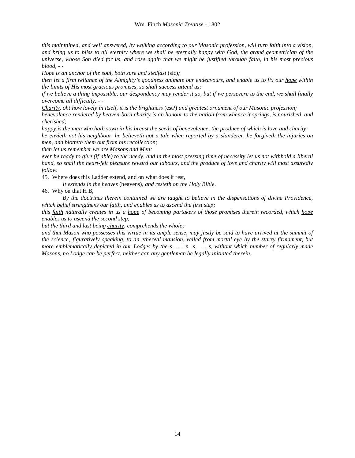*this maintained, and well answered, by walking according to our Masonic profession, will turn faith into a vision, and bring us to bliss to all eternity where we shall be eternally happy with God, the grand geometrician of the universe, whose Son died for us, and rose again that we might be justified through faith, in his most precious blood, - -*

*Hope is an anchor of the soul, both sure and stedfast* (sic)*;*

*then let a firm reliance of the Almighty¶s goodness animate our endeavours, and enable us to fix our hope within the limits of His most gracious promises, so shall success attend us;*

*if we believe a thing impossible, our despondency may render it so, but if we persevere to the end, we shall finally overcome all difficulty. - -*

*Charity, oh! how lovely in itself, it is the brightness* (est?) *and greatest ornament of our Masonic profession;*

*benevolence rendered by heaven-born charity is an honour to the nation from whence it springs, is nourished, and cherished;*

*happy is the man who hath sown in his breast the seeds of benevolence, the produce of which is love and charity; he envieth not his neighbour, he believeth not a tale when reported by a slanderer, he forgiveth the injuries on men, and blotteth them out from his recollection;*

*then let us remember we are Masons and Men;*

*ever be ready to give (if able) to the needy, and in the most pressing time of necessity let us not withhold a liberal hand, so shall the heart-felt pleasure reward our labours, and the produce of love and charity will most assuredly follow.*

45. Where does this Ladder extend, and on what does it rest,

*It extends in the heaves* (heavens), *and resteth on the Holy Bible*.

46. Why on that H B,

 *By the doctrines therein contained we are taught to believe in the dispensations of divine Providence, which belief strengthens our faith, and enables us to ascend the first step;*

*this faith naturally creates in us a hope of becoming partakers of those promises therein recorded, which hope enables us to ascend the second step;*

*but the third and last being charity, comprehends the whole;*

*and that Mason who possesses this virtue in its ample sense, may justly be said to have arrived at the summit of the science, figuratively speaking, to an ethereal mansion, veiled from mortal eye by the starry firmament, but more emblematically depicted in our Lodges by the s . . . n s . . . s, without which number of regularly made Masons, no Lodge can be perfect, neither can any gentleman be legally initiated therein.*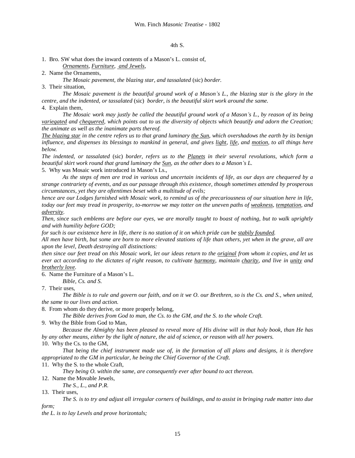#### 4th S.

1. Bro. SW what does the inward contents of a Mason's L. consist of,

*Ornaments, Furniture, and Jewels,*

2. Name the Ornaments,

*The Mosaic pavement, the blazing star, and tassalated* (sic) *border.*

3. Their situation,

*The Mosaic pavement is the beautiful ground work of a Mason¶s L., the blazing star is the glory in the centre, and the indented, or tassalated* (sic) *border, is the beautiful skirt work around the same.*

4. Explain them,

*The Mosaic work may justly be called the beautiful ground work of a Mason's L., by reason of its being variegated and chequered, which points out to us the diversity of objects which beautify and adorn the Creation; the animate as well as the inanimate parts thereof.*

*The blazing star in the centre refers us to that grand luminary the Sun, which overshadows the earth by its benign influence, and dispenses its blessings to mankind in general, and gives light, life, and motion, to all things here below.*

*The indented, or tassalated* (sic) *border, refers us to the Planets in their several revolutions, which form a beautiful skirt work round that grand luminary the*  $\frac{Sun}{S}$  *as the other does to a Mason's L.* 

5. Why was Mosaic work introduced in Mason's Ls.,

*As the steps of men are trod in various and uncertain incidents of life, as our days are chequered by a strange contrariety of events, and as our passage through this existence, though sometimes attended by prosperous circumstances, yet they are oftentimes beset with a multitude of evils;*

*hence are our Lodges furnished with Mosaic work, to remind us of the precariousness of our situation here in life, today our feet may tread in prosperity, to-morrow we may totter on the uneven paths of weakness, temptation, and adversity.*

*Then, since such emblems are before our eyes, we are morally taught to boast of nothing, but to walk uprightly and with humility before GOD;*

*for such is our existence here in life, there is no station of it on which pride can be stabily founded.*

*All men have birth, but some are born to more elevated stations of life than others, yet when in the grave, all are upon the level, Death destroying all distinctions:*

*then since our feet tread on this Mosaic work, let our ideas return to the original from whom it copies, and let us ever act according to the dictates of right reason, to cultivate harmony, maintain charity, and live in unity and brotherly love.*

6. Name the Furniture of a Mason's L.

*Bible, Cs. and S.*

7. Their uses,

*The Bible is to rule and govern our faith, and on it we O. our Brethren, so is the Cs. and S., when united, the same to our lives and action.*

8. From whom do they derive, or more properly belong,

*The Bible derives from God to man, the Cs. to the GM, and the S. to the whole Craft.*

9. Why the Bible from God to Man,

*Because the Almighty has been pleased to reveal more of His divine will in that holy book, than He has by any other means, either by the light of nature, the aid of science, or reason with all her powers.*

10. Why the Cs. to the GM,

*That being the chief instrument made use of, in the formation of all plans and designs, it is therefore appropriated to the GM in particular, he being the Chief Governor of the Craft.*

11. Why the S. to the whole Craft,

*They being O. within the same, are consequently ever after bound to act thereon.*

12. Name the Movable Jewels,

*The S., L., and P.R.*

13. Their uses,

*The S. is to try and adjust all irregular corners of buildings, and to assist in bringing rude matter into due form;*

*the L. is to lay Levels and prove horizontals;*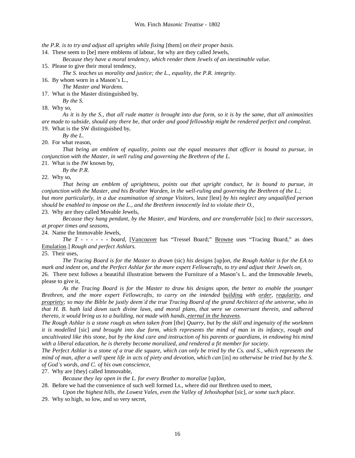*the P.R. is to try and adjust all uprights while fixing* [them] *on their proper basis.*

14. These seem to [be] mere emblems of labour, for why are they called Jewels,

*Because they have a moral tendency, which render them Jewels of an inestimable value.*

- 15. Please to give their moral tendency, *The S. teaches us morality and justice; the L., equality, the P.R. integrity.*
- 16. By whom worn in a Mason's L.,

*The Master and Wardens.*

17. What is the Master distinguished by, *By the S.*

18. Why so,

*As it is by the S., that all rude matter is brought into due form, so it is by the same, that all animosities are made to subside, should any there be, that order and good fellowship might be rendered perfect and compleat.* 19. What is the SW distinguished by,

*By the L.* 20. For what reason,

*That being an emblem of equality, points out the equal measures that officer is bound to pursue, in conjunction with the Master, in well ruling and governing the Brethren of the L.*

21. What is the JW known by,

*By the P.R.*

22. Why so,

*That being an emblem of uprightness, points out that upright conduct, he is bound to pursue, in conjunction with the Master, and his Brother Warden, in the well-ruling and governing the Brethren of the L.; but more particularly, in a due examination of strange Visitors, least* [lest] *by his neglect any unqualified person should be enabled to impose on the L., and the Brethren innocently led to violate their O.,*

23. Why are they called Movable Jewels,

*Because they hang pendant, by the Master, and Wardens, and are transferrable* [sic] *to their successors, at proper times and seasons,*

24. Name the Immovable Jewels,

*The T - - - - - - board,* [Vancouver has "Tressel Board;" Browne uses "Tracing Board," as does Emulation.] *Rough and perfect Ashlars.*

25. Their uses,

*The Tracing Board is for the Master to drawn* (sic) *his designs* [up]*on, the Rough Ashlar is for the EA to mark and indent on, and the Perfect Ashlar for the more expert Fellowcrafts, to try and adjust their Jewels on,* 26. There next follows a beautiful illustration between the Furniture of a Mason's L. and the Immovable Jewels, please to give it,

*As the Tracing Board is for the Master to draw his designs upon, the better to enable the younger Brethren, and the more expert Fellowcrafts, to carry on the intended building with order, regularity, and propriety; so may the Bible be justly deem¶d the true Tracing Board of the grand Architect of the universe, who in that H. B. hath laid down such divine laws, and moral plans, that were we conversant therein, and adhered thereto, it would bring us to a building, not made with hands, eternal in the heavens.*

*The Rough Ashlar is a stone rough as when taken from* [the] *Quarry, but by the skill and ingenuity of the workmen it is modelled* [sic] *and brought into due form, which represents the mind of man in its infancy, rough and uncultivated like this stone, but by the kind care and instruction of his parents or guardians, in endowing his mind with a liberal education, he is thereby become moralized, and rendered a fit member for society.*

*The Perfect Ashlar is a stone of a true die square, which can only be tried by the Cs. and S., which represents the mind of man, after a well spent life in acts of piety and devotion, which can* [in] *no otherwise be tried but by the S. of God¶s words, and C. of his own conscience,*

27. Why are [they] called Immovable,

*Because they lay open in the L. for every Brother to moralize* [up]*on,*

28. Before we had the convenience of such well formed Ls., where did our Brethren used to meet,

*Upon the highest hills, the Lowest Vales, even the Valley of Jehoshophat* [sic]*, or some such place.*

29. Why so high, so low, and so very secret,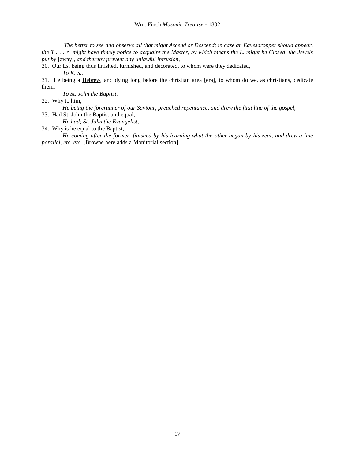*The better to see and observe all that might Ascend or Descend; in case an Eavesdropper should appear, the T . . . r might have timely notice to acquaint the Master, by which means the L. might be Closed, the Jewels put by* [away]*, and thereby prevent any unlawful intrusion,*

30. Our Ls. being thus finished, furnished, and decorated, to whom were they dedicated, *To K. S.,*

31. He being a Hebrew, and dying long before the christian area [era], to whom do we, as christians, dedicate them,

*To St. John the Baptist,*

32. Why to him,

*He being the forerunner of our Saviour, preached repentance, and drew the first line of the gospel,* 33. Had St. John the Baptist and equal,

*He had; St. John the Evangelist,*

34. Why is he equal to the Baptist,

*He coming after the former, finished by his learning what the other began by his zeal, and drew a line parallel, etc. etc.* [Browne here adds a Monitorial section].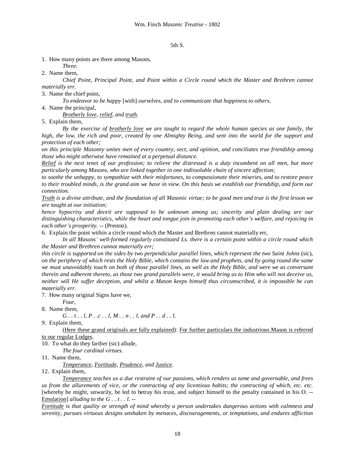5th S.

1. How many points are there among Masons,

*Three.* 2. Name them,

*Chief Point, Principal Point, and Point within a Circle round which the Master and Brethren cannot materially err.*

3. Name the chief point,

*To endeavor to be happy* [with] *ourselves, and to communicate that happiness to others.*

4. Name the principal,

*Brotherly love, relief, and truth.*

5. Explain them,

*By the exercise of brotherly love we are taught to regard the whole human species as one family, the high, the low, the rich and poor, created by one Almighty Being, and sent into the world for the support and protection of each other;*

*on this principle Masonry unites men of every country, sect, and opinion, and conciliates true friendship among those who might otherwise have remained at a perpetual distance.*

*Relief is the next tenet of our profession; to relieve the distressed is a duty incumbent on all men, but more particularly among Masons, who are linked together in one indissoluble chain of sincere affection;*

*to soothe the unhappy, to sympathize with their misfortunes, to compassionate their miseries, and to restore peace to their troubled minds, is the grand aim we have in view. On this basis we establish our friendship, and form our connection.*

*Truth is a divine attribute, and the foundation of all Masonic virtue; to be good men and true is the first lesson we are taught at our initiation;*

*hence hypocrisy and deceit are supposed to be unknown among us; sincerity and plain dealing are our distinguishing characteristics, while the heart and tongue join in promoting each other¶s welfare, and rejoicing in each other's prosperity.* -- (Preston).

6. Explain the point within a circle round which the Master and Brethren cannot materially err,

*In all Masons¶ well-formed regularly constituted Ls. there is a certain point within a circle round which the Master and Brethren cannot materially err;*

*this circle is supported on the sides by two perpendicular parallel lines, which represent the two Saint Johns* (sic), *on the periphery of which rests the Holy Bible, which contains the law and prophets, and by going round the same we must unavoidably touch on both of those parallel lines, as well as the Holy Bible, and were we as conversant therein and adherent thereto, as those two grand parallels were, it would bring us to Him who will not deceive us, neither will He suffer deception, and whilst a Mason keeps himself thus circumscribed, it is impossible he can materially err.*

7. How many original Signs have we,

*Four,*

8. Name them,

$$
G \ldots t \ldots l
$$
,  $P \ldots c \ldots l$ ,  $M \ldots n \ldots l$ , and  $P \ldots d \ldots l$ .

9. Explain them,

 (Here these grand originals are fully explained): For further particulars the industrious Mason is referred to our regular Lodges.

10. To what do they farther (sic) allude,

*The four cardinal virtues.*

11. Name them,

*Temperance, Fortitude, Prudence, and Justice.*

12. Explain them,

*Temperance teaches us a due restraint of our passions, which renders us tame and governable, and frees us from the allurements of vice, or the contracting of any licentious habits; the contracting of which, etc. etc.* [whereby he might, unwarily, be led to betray his trust, and subject himself to the penalty contained in his O. -- Emulation] *alluding to the G . . t . . l. --*

*Fortitude is that quality or strength of mind whereby a person undertakes dangerous actions with calmness and serenity, pursues virtuous designs unshaken by menaces, discouragements, or temptations, and endures affliction*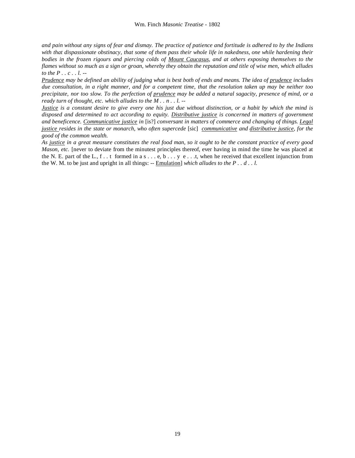*and pain without any signs of fear and dismay. The practice of patience and fortitude is adhered to by the Indians with that dispassionate obstinacy, that some of them pass their whole life in nakedness, one while hardening their bodies in the frozen rigours and piercing colds of Mount Caucasus, and at others exposing themselves to the flames without so much as a sign or groan, whereby they obtain the reputation and title of wise men, which alludes to the P . . c . . l. --*

*Prudence may be defined an ability of judging what is best both of ends and means. The idea of prudence includes due consultation, in a right manner, and for a competent time, that the resolution taken up may be neither too precipitate, nor too slow. To the perfection of prudence may be added a natural sagacity, presence of mind, or a ready turn of thought, etc. which alludes to the M . . n . . l. --*

*Justice is a constant desire to give every one his just due without distinction, or a habit by which the mind is disposed and determined to act according to equity. Distributive justice is concerned in matters of government and beneficence. Communicative justice in* [is?] *conversant in matters of commerce and changing of things. Legal justice resides in the state or monarch, who often supercede* [sic] *communicative and distributive justice, for the good of the common wealth.*

*As justice in a great measure constitutes the real food man, so it ought to be the constant practice of every good Mason, etc.* [never to deviate from the minutest principles thereof, ever having in mind the time he was placed at the N. E. part of the L.,  $f \dots t$  formed in a s  $\dots$  e, b  $\dots$  y e  $\dots$  t, when he received that excellent injunction from the W. M. to be just and upright in all things: -- Emulation] *which alludes to the P . . d . . l.*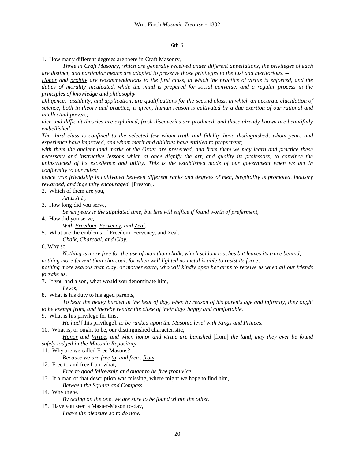#### 6th S

1. How many different degrees are there in Craft Masonry,

*Three in Craft Masonry, which are generally received under different appellations, the privileges of each are distinct, and particular means are adopted to preserve those privileges to the just and meritorious. --*

*Honor and probity are recommendations to the first class, in which the practice of virtue is enforced, and the duties of morality inculcated, while the mind is prepared for social converse, and a regular process in the principles of knowledge and philosophy.*

*Diligence, assiduity, and application, are qualifications for the second class, in which an accurate elucidation of science, both in theory and practice, is given, human reason is cultivated by a due exertion of our rational and intellectual powers;*

*nice and difficult theories are explained, fresh discoveries are produced, and those already known are beautifully embellished.*

*The third class is confined to the selected few whom truth and fidelity have distinguished, whom years and experience have improved, and whom merit and abilities have entitled to preferment;*

*with them the ancient land marks of the Order are preserved, and from them we may learn and practice these necessary and instructive lessons which at once dignify the art, and qualify its professors; to convince the uninstructed of its excellence and utility. This is the established mode of our government when we act in conformity to our rules;*

*hence true friendship is cultivated between different ranks and degrees of men, hospitality is promoted, industry rewarded, and ingenuity encouraged.* [Preston].

- 2. Which of them are you,
	- *An E A P,*
- 3. How long did you serve,

 *Seven years is the stipulated time, but less will suffice if found worth of preferment,*

4. How did you serve,

*With Freedom, Fervency, and Zeal.*

- 5. What are the emblems of Freedom, Fervency, and Zeal.
	- *Chalk, Charcoal, and Clay.*
- 6. Why so,

*Nothing is more free for the use of man than chalk, which seldom touches but leaves its trace behind; nothing more fervent than charcoal, for when well lighted no metal is able to resist its force;*

*nothing more zealous than clay, or mother earth, who will kindly open her arms to receive us when all our friends forsake us.*

7. If you had a son, what would you denominate him,

*Lewis,*

8. What is his duty to his aged parents,

*To bear the heavy burden in the heat of day, when by reason of his parents age and infirmity, they ought to be exempt from, and thereby render the close of their days happy and comfortable.*

9. What is his privilege for this,

*He had* [this privilege], *to be ranked upon the Masonic level with Kings and Princes.*

10. What is, or ought to be, our distinguished characteristic,

*Honor and Virtue, and when honor and virtue are banished* [from] *the land, may they ever be found safely lodged in the Masonic Repository.*

11. Why are we called Free-Masons?

*Because we are free to, and free , from.*

12. Free to and free from what,

*Free to good fellowship and ought to be free from vice.*

- 13. If a man of that description was missing, where might we hope to find him,
- *Between the Square and Compass.*

14. Why there,

*By acting on the one, we are sure to be found within the other.*

15. Have you seen a Master-Mason to-day, *I have the pleasure so to do now.*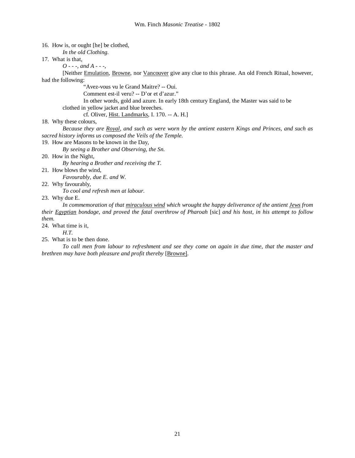16. How is, or ought [he] be clothed,

- *In the old Clothing.*
- 17. What is that,
	- *O - -, and A - -,*

[Neither Emulation, Browne, nor Vancouver give any clue to this phrase. An old French Ritual, however, had the following:

"Avez-vous vu le Grand Maitre? -- Oui.

Comment est-il veru? -- D'or et d'azur."

In other words, gold and azure. In early 18th century England, the Master was said to be

clothed in yellow jacket and blue breeches.

cf. Oliver, Hist. Landmarks, I. 170. -- A. H.]

#### 18. Why these colours,

*Because they are Royal, and such as were worn by the antient eastern Kings and Princes, and such as sacred history informs us composed the Veils of the Temple.*

19. How are Masons to be known in the Day,

*By seeing a Brother and Observing, the Sn.*

20. How in the Night,

*By hearing a Brother and receiving the T.*

21. How blows the wind,

*Favourably, due E. and W.*

22. Why favourably,

*To cool and refresh men at labour.*

23. Why due E.

 *In commemoration of that miraculous wind which wrought the happy deliverance of the antient Jews from their Egyptian bondage, and proved the fatal overthrow of Pharoah* [sic] *and his host, in his attempt to follow them.*

24. What time is it,

*H.T.*

25. What is to be then done.

*To call men from labour to refreshment and see they come on again in due time, that the master and brethren may have both pleasure and profit thereby* [Browne].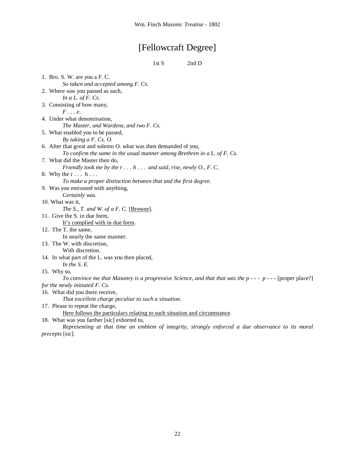# [Fellowcraft Degree]

```
1st S 2nd D
```

| 1. Bro. S. W. are you a F. C.                                                                               |
|-------------------------------------------------------------------------------------------------------------|
| So taken and accepted among F. Cs.                                                                          |
| 2. Where was you passed as such,                                                                            |
| In a L. of F. Cs.                                                                                           |
| 3. Consisting of how many,                                                                                  |
| $F \ldots e$ .                                                                                              |
| 4. Under what denomination,                                                                                 |
| The Master, and Wardens, and two F. Cs.                                                                     |
| 5. What enabled you to be passed,                                                                           |
| By taking a F. Cs. O.                                                                                       |
| 6. After that great and solemn O. what was then demanded of you,                                            |
| To confirm the same in the usual manner among Brethren in a L. of F. Cs.                                    |
| 7. What did the Master then do,                                                                             |
| Friendly took me by the $r \dots h \dots$ and said, rise, newly O., F. C.                                   |
| 8. Why the $r \ldots h \ldots$                                                                              |
| To make a proper distinction between that and the first degree.                                             |
| 9. Was you entrusted with anything,<br>Certainly was.                                                       |
| 10. What was it,                                                                                            |
|                                                                                                             |
| The S., T. and W. of a F. C. [Browne].<br>11. Give the S. in due form,                                      |
| It's complied with in due form.                                                                             |
| 12. The T. the same,                                                                                        |
| In nearly the same manner.                                                                                  |
| 13. The W. with discretion,                                                                                 |
| With discretion.                                                                                            |
| 14. In what part of the L. was you then placed,                                                             |
| In the $S. E.$                                                                                              |
| 15. Why so,                                                                                                 |
| To convince me that Masonry is a progressive Science, and that that was the $p - - p - - p$ [proper place?] |
| for the newly initiated F. Cs.                                                                              |
| 16. What did you there receive,                                                                             |
| That excellent charge peculiar to such a situation.                                                         |
| 17. Please to repeat the charge,                                                                            |
| Here follows the particulars relating to such situation and circumstance.                                   |
| 18. What was you farther [sic] exhorted to,                                                                 |
| Representing at that time an emblem of integrity, strongly enforced a due observance to its moral           |
| precepts [sic].                                                                                             |
|                                                                                                             |
|                                                                                                             |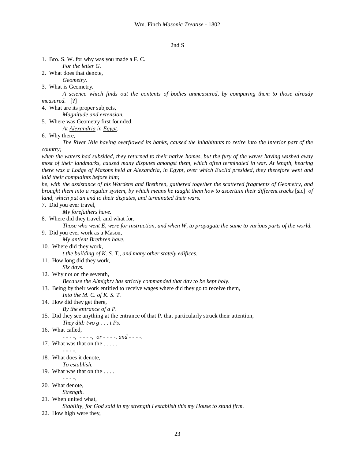#### 2nd S

- 1. Bro. S. W. for why was you made a F. C. *For the letter G.*
- 2. What does that denote,
	- *Geometry.*
- 3. What is Geometry.

*A science which finds out the contents of bodies unmeasured, by comparing them to those already measured.* [?]

4. What are its proper subjects,

*Magnitude and extension.*

5. Where was Geometry first founded.

*At Alexandria in Egypt.*

6. Why there,

*The River Nile having overflowed its banks, caused the inhabitants to retire into the interior part of the country;*

*when the waters had subsided, they returned to their native homes, but the fury of the waves having washed away most of their landmarks, caused many disputes amongst them, which often terminated in war. At length, hearing there was a Lodge of Masons held at Alexandria, in Egypt, over which Euclid presided, they therefore went and laid their complaints before him;*

*he, with the assistance of his Wardens and Brethren, gathered together the scattered fragments of Geometry, and brought them into a regular system, by which means he taught them how to ascertain their different tracks* [sic] *of land, which put an end to their disputes, and terminated their wars.*

7. Did you ever travel,

*My forefathers have.*

8. Where did they travel, and what for,

*Those who went E, were for instruction, and when W, to propagate the same to various parts of the world.* 9. Did you ever work as a Mason,

*My antient Brethren have.*

10. Where did they work,

*t the building of K. S. T., and many other stately edifices.*

11. How long did they work,

*Six days.*

- 12. Why not on the seventh, *Because the Almighty has strictly commanded that day to be kept holy.*
- 13. Being by their work entitled to receive wages where did they go to receive them,
	- *Into the M. C. of K. S. T.*
- 14. How did they get there,
	- *By the entrance of a P.*
- 15. Did they see anything at the entrance of that P. that particularly struck their attention,
- *They did: two g . . . t Ps.*
- 16. What called,

```
 - - - -, - - - -, or - - - -. and - - - -.
```
- 17. What was that on the . . . . .
	- - -.
- 18. What does it denote, *To establish.*
- 19. What was that on the . . . .
- *- -.* 20. What denote,
	- *Strength.*
- 21. When united what, *Stability, for God said in my strength I establish this my House to stand firm.*
- 22. How high were they,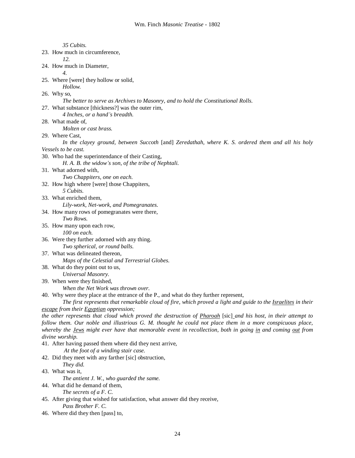*35 Cubits.* 23. How much in circumference, *12.* 24. How much in Diameter, *4.* 25. Where [were] they hollow or solid, *Hollow.* 26. Why so, *The better to serve as Archives to Masonry, and to hold the Constitutional Rolls.* 27. What substance [thickness?] was the outer rim, *4 Inches, or a hand¶s breadth.* 28. What made of, *Molten or cast brass.* 29. Where Cast,  *In the clayey ground, between Succoth* [and] *Zeredathah, where K. S. ordered them and all his holy Vessels to be cast.* 30. Who had the superintendance of their Casting, *H. A. B. the widow¶s son, of the tribe of Nephtali.* 31. What adorned with, *Two Chappiters, one on each.* 32. How high where [were] those Chappiters, *5 Cubits.* 33. What enriched them, *Lily-work, Net-work, and Pomegranates.* 34. How many rows of pomegranates were there, *Two Rows.* 35. How many upon each row, *100 on each.* 36. Were they further adorned with any thing. *Two spherical, or round balls.* 37. What was delineated thereon, *Maps of the Celestial and Terrestrial Globes.* 38. What do they point out to us, *Universal Masonry.* 39. When were they finished, *When the Net Work was thrown over.* 40. Why were they place at the entrance of the P., and what do they further represent, *The first represents that remarkable cloud of fire, which proved a light and guide to the Israelites in their escape from their Egyptian oppression; the other represents that cloud which proved the destruction of Pharoah* [sic] *and his host, in their attempt to*

*follow them. Our noble and illustrious G. M. thought he could not place them in a more conspicuous place, whereby the Jews might ever have that memorable event in recollection, both in going in and coming out from divine worship.*

41. After having passed them where did they next arrive,

 *At the foot of a winding stair case.*

- 42. Did they meet with any farther [sic] obstruction, *They did.*
- 43. What was it, *The antient J. W., who guarded the same.*
- 44. What did he demand of them, *The secrets of a F. C.*
- 45. After giving that wished for satisfaction, what answer did they receive, *Pass Brother F. C.*
- 46. Where did they then [pass] to,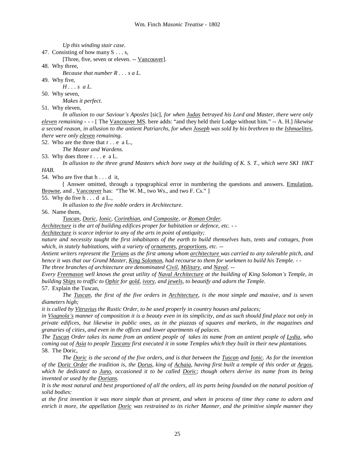*Up this winding stair case.*

47. Consisting of how many S . . . s,

[Three, five, seven or eleven. -- Vancouver].

48. Why three,

*Because that number R . . . s a L.*

49. Why five,

 *H . . . s a L.*

50. Why seven,

*Makes it perfect.*

51. Why eleven,

*In allusion to our Saviour¶s Aposles* [sic]*, for when Judas betrayed his Lord and Master, there were only eleven remaining - - -* [ The Vancouver MS. here adds: "and they held their Lodge without him." -- A. H.] *likewise a second reason, in allusion to the antient Patriarchs, for when Joseph was sold by his brethren to the Ishmaelites, there were only eleven remaining.*

52. Who are the three that r . . e a L.,

*The Master and Wardens.*

53. Why does three r . . . e a L.

*In allusion to the three grand Masters which bore sway at the building of K. S. T., which were SKI HKT HAB.*

54. Who are five that h . . . d it,

 [ Answer omitted, through a typographical error in numbering the questions and answers. Emulation, Browne, and, Vancouver has: "The W. M., two Ws., and two F. Cs." ]

55. Why do five  $h \dots d$  a L.

*In allusion to the five noble orders in Architecture.*

56. Name them,

 *Tuscan, Doric, Ionic, Corinthian, and Composite, or Roman Order.*

*Architecture is the art of building edifices proper for habitation or defence, etc. - -*

*Architecture is scarce inferior to any of the arts in point of antiquity;*

*nature and necessity taught the first inhabitants of the earth to build themselves huts, tents and cottages, from which, in stately habitations, with a variety of ornaments, proportions, etc. --*

*Antient writers represent the Tyrians as the first among whom architecture was carried to any tolerable pitch, and hence it was that our Grand Master, King Solomon, had recourse to them for workmen to build his Temple. - -*

*The three branches of architecture are denominated Civil, Military, and Naval. --*

*Every Freemason well knows the great utility of Naval Architecture at the building of King Solomon's Temple, in building Ships to traffic to Ophir for gold, ivory, and jewels, to beautify and adorn the Temple.*

57. Explain the Tuscan,

 *The Tuscan, the first of the five orders in Architecture, is the most simple and massive, and is seven diameters high;*

*it is called by Vitruvius the Rustic Order, to be used properly in country houses and palaces;*

*in Viagnola¶s manner of composition it is a beauty even in its simplicity, and as such should find place not only in private edifices, but likewise in public ones, as in the piazzas of squares and markets, in the magazines and granaries of cities, and even in the offices and lower apartments of palaces.*

*The Tuscan Order takes its name from an antient people of takes its name from an antient people of Lydia, who coming out of Asia to people Tuscany first executed it in some Temples which they built in their new plantations.* 58. The Doric,

*The Doric is the second of the five orders, and is that between the Tuscan and Ionic. As for the invention of the Doric Order the tradition is, the Dorus, king of Achaia, having first built a temple of this order at Argos, which he dedicated to Juno, occasioned it to be called Doric; though others derive its name from its being invented or used by the Dorians.*

*It is the most natural and best proportioned of all the orders, all its parts being founded on the natural position of solid bodies:*

*at the first invention it was more simple than at present, and when in process of time they came to adorn and enrich it more, the appellation Doric was restrained to its richer Manner, and the primitive simple manner they*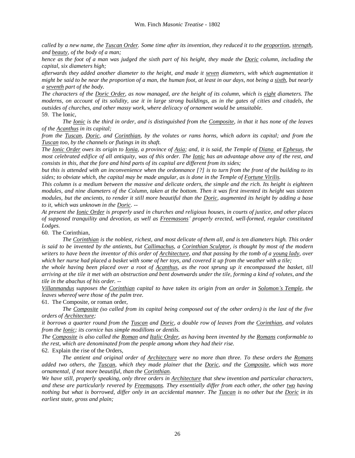*called by a new name, the Tuscan Order. Some time after its invention, they reduced it to the proportion, strength, and beauty, of the body of a man;*

*hence as the foot of a man was judged the sixth part of his height, they made the Doric column, including the capital, six diameters high;*

*afterwards they added another diameter to the height, and made it seven diameters, with which augmentation it might be said to be near the proportion of a man, the human foot, at least in our days, not being a sixth, but nearly a seventh part of the body.*

*The characters of the Doric Order, as now managed, are the height of its column, which is eight diameters. The moderns, on account of its solidity, use it in large strong buildings, as in the gates of cities and citadels, the outsides of churches, and other massy work, where delicacy of ornament would be unsuitable.*

59. The Ionic,

*The Ionic is the third in order, and is distinguished from the Composite, in that it has none of the leaves of the Acanthus in its capital;*

*from the Tuscan, Doric, and Corinthian, by the volutes or rams horns, which adorn its capital; and from the Tuscan too, by the channels or flutings in its shaft.*

*The Ionic Order owes its origin to Ionia, a province of Asia; and, it is said, the Temple of Diana at Ephesus, the most celebrated edifice of all antiquity, was of this order. The Ionic has an advantage above any of the rest, and consists in this, that the fore and hind parts of its capital are different from its sides;*

*but this is attended with an inconvenience when the ordonnance [?] is to turn from the front of the building to its sides; to obviate which, the capital may be made angular, as is done in the Temple of Fortune Virilis.*

*This column is a medium between the massive and delicate orders, the simple and the rich. Its height is eighteen modules, and nine diameters of the Column, taken at the bottom. Then it was first invented its height was sixteen modules, but the ancients, to render it still more beautiful than the Doric, augmented its height by adding a base to it, which was unknown in the Doric. --*

*At present the Ionic Order is properly used in churches and religious houses, in courts of justice, and other places of supposed tranquility and devotion, as well as Freemasons¶ properly erected, well-formed, regular constituted Lodges.*

60. The Corinthian,

*The Corinthian is the noblest, richest, and most delicate of them all, and is ten diameters high. This order is said to be invented by the antients, but Callimachus, a Corinthian Sculptor, is thought by most of the modern writers to have been the inventor of this order of Architecture, and that passing by the tomb of a young lady, over which her nurse had placed a basket with some of her toys, and covered it up from the weather with a tile;*

*the whole having been placed over a root of Acanthus, as the root sprung up it encompassed the basket, till arriving at the tile it met with an obstruction and bent downwards under the tile, forming a kind of volutes, and the tile in the abachus of his order. --*

*Villanmandus supposes the Corinthian capital to have taken its origin from an order in Solomon's Temple, the leaves whereof were those of the palm tree.*

61. The Composite, or roman order,

*The Composite (so called from its capital being composed out of the other orders) is the last of the five orders of Architecture;*

*it borrows a quarter round from the Tuscan and Doric, a double row of leaves from the Corinthian, and volutes from the Ionic; its cornice has simple modillons or dentils.*

*The Composite is also called the Roman and Italic Order, as having been invented by the Romans conformable to the rest, which are denominated from the people among whom they had their rise.*

62. Explain the rise of the Orders,

*The antient and original order of Architecture were no more than three. To these orders the Romans added two others, the Tuscan, which they made plainer that the Doric, and the Composite, which was more ornamental, if not more beautiful, than the Corinthian.*

*We have still, properly speaking, only three orders in Architecture that shew invention and particular characters, and these are particularly revered by Freemasons. They essentially differ from each other, the other two having nothing but what is borrowed, differ only in an accidental manner. The Tuscan is no other but the Doric in its earliest state, gross and plain;*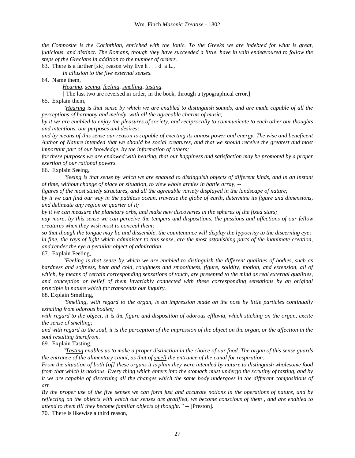*the Composite is the Corinthian, enriched with the Ionic. To the Greeks we are indebted for what is great, judicious, and distinct. The Romans, though they have succeeded a little, have in vain endeavoured to follow the steps of the Grecians in addition to the number of orders.*

63. There is a farther [sic] reason why five h . . . d a L.,

*In allusion to the five external senses.*

64. Name them,

 *Hearing, seeing, feeling, smelling, tasting.*

[ The last two are reversed in order, in the book, through a typographical error.]

65. Explain them,

*³Hearing is that sense by which we are enabled to distinguish sounds, and are made capable of all the perceptions of harmony and melody, with all the agreeable charms of music;*

*by it we are enabled to enjoy the pleasures of society, and reciprocally to communicate to each other our thoughts and intentions, our purposes and desires;*

*and by means of this sense our reason is capable of exerting its utmost power and energy. The wise and beneficent Author of Nature intended that we should be social creatures, and that we should receive the greatest and most important part of our knowledge, by the information of others;*

*for these purposes we are endowed with hearing, that our happiness and satisfaction may be promoted by a proper exertion of our rational powers.*

66. Explain Seeing,

*³Seeing is that sense by which we are enabled to distinguish objects of different kinds, and in an instant of time, without change of place or situation, to view whole armies in battle array, --*

*figures of the most stately structures, and all the agreeable variety displayed in the landscape of nature;*

*by it we can find our way in the pathless ocean, traverse the globe of earth, determine its figure and dimensions, and delineate any region or quarter of it;*

*by it we can measure the planetary orbs, and make new discoveries in the spheres of the fixed stars;*

*nay more, by this sense we can perceive the tempers and dispositions, the passions and affections of our fellow creatures when they wish most to conceal them;*

*so that though the tongue may lie and dissemble, the countenance will display the hypocrisy to the discerning eye; in fine, the rays of light which administer to this sense, are the most astonishing parts of the inanimate creation, and render the eye a peculiar object of admiration.*

67. Explain Feeling,

*³Feeling is that sense by which we are enabled to distinguish the different qualities of bodies, such as hardness and softness, heat and cold, roughness and smoothness, figure, solidity, motion, and extension, all of which, by means of certain corresponding sensations of touch, are presented to the mind as real external qualities, and conception or belief of them invariably connected with these corresponding sensations by an original principle in nature which far transcends our inquiry.*

68. Explain Smelling,

 *³Smelling, with regard to the organ, is an impression made on the nose by little particles continually exhaling from odorous bodies;*

*with regard to the object, it is the figure and disposition of odorous effluvia, which sticking on the organ, excite the sense of smelling;*

*and with regard to the soul, it is the perception of the impression of the object on the organ, or the affection in the soul resulting therefrom.*

69. Explain Tasting,

*³Tasting enables us to make a proper distinction in the choice of our food. The organ of this sense guards the entrance of the alimentary canal, as that of smell the entrance of the canal for respiration.*

*From the situation of both [of] these organs it is plain they were intended by nature to distinguish wholesome food from that which is noxious. Every thing which enters into the stomach must undergo the scrutiny of tasting, and by it we are capable of discerning all the changes which the same body undergoes in the different compositions of art.*

*By the proper use of the five senses we can form just and accurate notions in the operations of nature, and by reflecting on the objects with which our senses are gratified, we become conscious of them , and are enabled to attend to them till they become familiar objects of thought.´ --* [Preston].

70. There is likewise a third reason,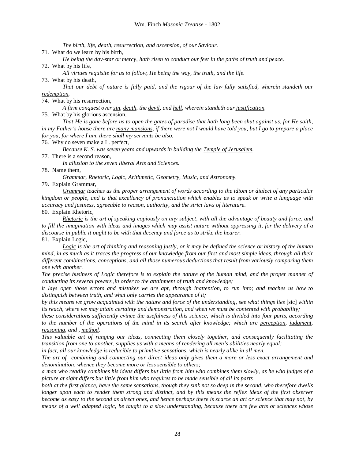*The birth, life, death, resurrection, and ascension, of our Saviour.*

71. What do we learn by his birth,

 *He being the day-star or mercy, hath risen to conduct our feet in the paths of truth and peace.*

72. What by his life,

*All virtues requisite for us to follow, He being the way, the truth, and the life.*

73. What by his death,

*That our debt of nature is fully paid, and the rigour of the law fully satisfied, wherein standeth our redemption.*

74. What by his resurrection,

*A firm conquest over sin, death, the devil, and hell, wherein standeth our justification.*

75. What by his glorious ascension,

*That He is gone before us to open the gates of paradise that hath long been shut against us, for He saith, in my Father¶s house there are many mansions, if there were not I would have told you, but I go to prepare a place for you, for where I am, there shall my servants be also.*

76. Why do seven make a L. perfect,

*Because K. S. was seven years and upwards in building the Temple of Jerusalem.*

77. There is a second reason,

*In allusion to the seven liberal Arts and Sciences.*

78. Name them,

*Grammar, Rhetoric, Logic, Arithmetic, Geometry, Music, and Astronomy.*

79. Explain Grammar,

*Grammar teaches us the proper arrangement of words according to the idiom or dialect of any particular kingdom or people, and is that excellency of pronunciation which enables us to speak or write a language with accuracy and justness, agreeable to reason, authority, and the strict laws of literature.*

80. Explain Rhetoric,

*Rhetoric is the art of speaking copiously on any subject, with all the advantage of beauty and force, and to fill the imagination with ideas and images which may assist nature without oppressing it, for the delivery of a discourse in public it ought to be with that decency and force as to strike the hearer.* 81. Explain Logic,

*Logic is the art of thinking and reasoning justly, or it may be defined the science or history of the human mind, in as much as it traces the progress of our knowledge from our first and most simple ideas, through all their different combinations, conceptions, and all those numerous deductions that result from variously comparing them one with another.*

*The precise business of Logic therefore is to explain the nature of the human mind, and the proper manner of conducting its several powers ,in order to the attainment of truth and knowledge;*

*it lays open those errors and mistakes we are apt, through inattention, to run into; and teaches us how to distinguish between truth, and what only carries the appearance of it;*

*by this means we grow acquainted with the nature and force of the understanding, see what things lies* [sic] *within its reach, where we may attain certainty and demonstration, and when we must be contented with probability;*

*these considerations sufficiently evince the usefulness of this science, which is divided into four parts, according to the number of the operations of the mind in its search after knowledge; which are perception, judgment, reasoning, and , method.*

*This valuable art of ranging our ideas, connecting them closely together, and consequently facilitating the transition from one to another, supplies us with a means of rendering all men's abilities nearly equal;* 

*in fact, all our knowledge is reducible to primitive sensations, which is nearly alike in all men.*

*The art of combining and connecting our direct ideas only gives them a more or less exact arrangement and denomination, whence they become more or less sensible to others;*

*a man who readily combines his ideas differs but little from him who combines them slowly, as he who judges of a picture at sight differs but little from him who requires to be made sensible of all its parts*

*both at the first glance, have the same sensations, though they sink not so deep in the second, who therefore dwells longer upon each to render them strong and distinct, and by this means the reflex ideas of the first observer become as easy to the second as direct ones, and hence perhaps there is scarce an art or science that may not, by means of a well adapted logic, be taught to a slow understanding, because there are few arts or sciences whose*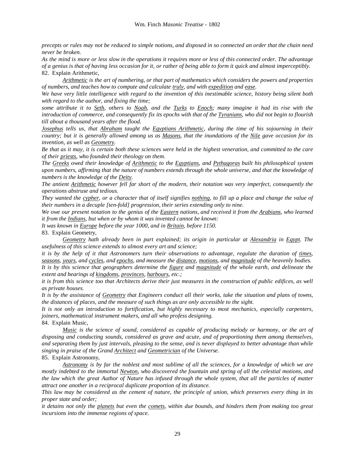*precepts or rules may not be reduced to simple notions, and disposed in so connected an order that the chain need never be broken.*

*As the mind is more or less slow in the operations it requires more or less of this connected order. The advantage of a genius is that of having less occasion for it, or rather of being able to form it quick and almost imperceptibly.* 82. Explain Arithmetic,

*Arithmetic is the art of numbering, or that part of mathematics which considers the powers and properties of numbers, and teaches how to compute and calculate truly, and with expedition and ease.*

*We have very little intelligence with regard to the invention of this inestimable science, history being silent both with regard to the author, and fixing the time;*

*some attribute it to Seth, others to Noah, and the Turks to Enoch; many imagine it had its rise with the introduction of commerce, and consequently fix its epochs with that of the Tyranians, who did not begin to flourish till about a thousand years after the flood.*

*Josephus tells us, that Abraham taught the Egyptians Arithmetic, during the time of his sojourning in their country; but it is generally allowed among us as Masons, that the inundations of the Nile gave occasion for its invention, as well as Geometry.*

*Be that as it may, it is certain both these sciences were held in the highest veneration, and committed to the care of their priests, who founded their theology on them.*

*The Greeks owed their knowledge of Arithmetic to the Egyptians, and Pythagoras built his philosophical system upon numbers, affirming that the nature of numbers extends through the whole universe, and that the knowledge of numbers is the knowledge of the Deity.*

*The antient Arithmetic however fell far short of the modern, their notation was very imperfect, consequently the operations abstruse and tedious.*

*They wanted the cypher, or a character that of itself signifies nothing, to fill up a place and change the value of their numbers in a decuple [ten-fold] progression, their series extending only to nine.*

*We owe our present notation to the genius of the Eastern nations, and received it from the Arabians, who learned it from the Indians, but when or by whom it was invented cannot be known:*

*It was known in Europe before the year 1000, and in Britain, before 1150.*

83. Explain Geometry,

 *Geometry hath already been in part explained; its origin in particular at Alexandria in Egypt. The usefulness of this science extends to almost every art and science;*

*it is by the help of it that Astronomers turn their observations to advantage, regulate the duration of times, seasons, years, and cycles, and epochs, and measure the distance, motions, and magnitude of the heavenly bodies. It is by this science that geographers determine the figure and magnitude of the whole earth, and delineate the extent and bearings of kingdoms, provinces, harbours, etc.;*

*it is from this science too that Architects derive their just measures in the construction of public edifices, as well as private houses.*

*It is by the assistance of Geometry that Engineers conduct all their works, take the situation and plans of towns, the distances of places, and the measure of such things as are only accessible to the sight.*

*It is not only an introduction to fortification, but highly necessary to most mechanics, especially carpenters, joiners, mathematical instrument makers, and all who profess designing.*

84. Explain Music,

 *Music is the science of sound, considered as capable of producing melody or harmony, or the art of disposing and conducting sounds, considered as grave and acute, and of proportioning them among themselves, and separating them by just intervals, pleasing to the sense, and is never displayed to better advantage than while singing in praise of the Grand Architect and Geometrician of the Universe.*

85. Explain Astronomy,

*Astronomy is by far the noblest and most sublime of all the sciences, for a knowledge of which we are mostly indebted to the immortal Newton, who discovered the fountain and spring of all the celestial motions, and the law which the great Author of Nature has infused through the whole system, that all the particles of matter attract one another in a reciprocal duplicate proportion of its distance.*

*This law may be considered as the cement of nature, the principle of union, which preserves every thing in its proper state and order;*

*it detains not only the planets but even the comets, within due bounds, and hinders them from making too great incursions into the immense regions of space.*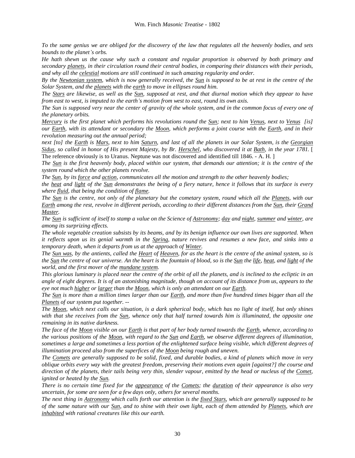*To the same genius we are obliged for the discovery of the law that regulates all the heavenly bodies, and sets bounds to the planet's orbs.* 

*He hath shewn us the cause why such a constant and regular proportion is observed by both primary and secondary planets, in their circulation round their central bodies, in comparing their distances with their periods, and why all the celestial motions are still continued in such amazing regularity and order.*

*By the Newtonian system, which is now generally received, the Sun is supposed to be at rest in the centre of the Solar System, and the planets with the earth to move in ellipses round him.*

*The Stars are likewise, as well as the Sun, supposed at rest, and that diurnal motion which they appear to have from east to west, is imputed to the earth¶s motion from west to east, round its own axis.*

*The Sun is supposed very near the center of gravity of the whole system, and in the common focus of every one of the planetary orbits.*

*Mercury is the first planet which performs his revolutions round the Sun; next to him Venus, next to Venus [is] our Earth, with its attendant or secondary the Moon, which performs a joint course with the Earth, and in their revolution measuring out the annual period;*

*next [to] the Earth is Mars, next to him Saturn, and last of all the planets in our Solar System, is the Georgian Sidus, so called in honor of His present Majesty, by Br. Herschel, who discovered it at Bath, in the year 1781.* [ The reference obviously is to Uranus. Neptune was not discovered and identified till 1846. - A. H. ]

*The Sun is the first heavenly body, placed within our system, that demands our attention; it is the centre of the system round which the other planets revolve.*

*The Sun, by its force and action, communicates all the motion and strength to the other heavenly bodies;*

*the heat and light of the Sun demonstrates the being of a fiery nature, hence it follows that its surface is every where fluid, that being the condition of flame.*

*The Sun is the centre, not only of the planetary but the cometary system, round which all the Planets, with our Earth among the rest, revolve in different periods, according to their different distances from the Sun, their Grand Master.*

*The Sun is sufficient of itself to stamp a value on the Science of Astronomy; day and night, summer and winter, are among its surprizing effects.*

*The whole vegetable creation subsists by its beams, and by its benign influence our own lives are supported. When it reflects upon us its genial warmth in the Spring, nature revives and resumes a new face, and sinks into a temporary death, when it departs from us at the approach of Winter.*

*The Sun was, by the antients, called the Heart of Heaven, for as the heart is the centre of the animal system, so is the Sun the centre of our universe. An the heart is the fountain of blood, so is the Sun the life, heat, and light of the world, and the first mover of the mundane system.*

*This glorious luminary is placed near the centre of the orbit of all the planets, and is inclined to the ecliptic in an angle of eight degrees. It is of an astonishing magnitude, though on account of its distance from us, appears to the eye not much higher or larger than the Moon, which is only an attendant on our Earth.*

*The Sun is more than a million times larger than our Earth, and more than five hundred times bigger than all the Planets of our system put together. --*

*The Moon, which next calls our situation, is a dark spherical body, which has no light of itself, but only shines with that she receives from the Sun, whence only that half turned towards him is illuminated, the opposite one remaining in its native darkness.*

*The face of the Moon visible on our Earth is that part of her body turned towards the Earth, whence, according to the various positions of the Moon, with regard to the Sun and Earth, we observe different degrees of illumination, sometimes a large and sometimes a less portion of the enlightened surface being visible, which different degrees of illumination proceed also from the superfices of the Moon being rough and uneven.*

*The Comets are generally supposed to be solid, fixed, and durable bodies, a kind of planets which move in very oblique orbits every way with the greatest freedom, preserving their motions even again [against?] the course and direction of the planets, their tails being very thin, slender vapour, emitted by the head or nucleus of the Comet, ignited or heated by the Sun.*

*There is no certain time fixed for the appearance of the Comets; the duration of their appearance is also very uncertain, for some are seen for a few days only, others for several months.*

*The next thing in Astronomy which calls forth our attention is the fixed Stars, which are generally supposed to be of the same nature with our Sun, and to shine with their own light, each of them attended by Planets, which are inhabited with rational creatures like this our earth.*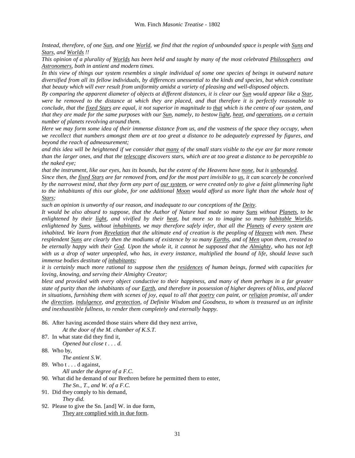*Instead, therefore, of one Sun, and one World, we find that the region of unbounded space is people with Suns and Stars, and Worlds !!*

*This opinion of a plurality of Worlds has been held and taught by many of the most celebrated Philosophers and Astronomers, both in antient and modern times.*

*In this view of things our system resembles a single individual of some one species of beings in outward nature diversified from all its fellow individuals, by differences unessential to the kinds and species, but which constitute that beauty which will ever result from uniformity amidst a variety of pleasing and well-disposed objects.*

*By comparing the apparent diameter of objects at different distances, it is clear our Sun would appear like a Star, were he removed to the distance at which they are placed, and that therefore it is perfectly reasonable to conclude, that the fixed Stars are equal, it not superior in magnitude to that which is the centre of our system, and that they are made for the same purposes with our Sun, namely, to bestow light, heat, and operations, on a certain number of planets revolving around them.*

*Here we may form some idea of their immense distance from us, and the vastness of the space they occupy, when we recollect that numbers amongst them are at too great a distance to be adequately expressed by figures, and beyond the reach of admeasurement;*

*and this idea will be heightened if we consider that many of the small stars visible to the eye are far more remote than the larger ones, and that the telescope discovers stars, which are at too great a distance to be perceptible to the naked eye;*

*that the instrument, like our eyes, has its bounds, but the extent of the Heavens have none, but is unbounded.*

*Since then, the fixed Stars are far removed from, and for the most part invisible to us, it can scarcely be conceived by the narrowest mind, that they form any part of our system, or were created only to give a faint glimmering light to the inhabitants of this our globe, for one additional Moon would afford us more light than the whole host of Stars;*

*such an opinion is unworthy of our reason, and inadequate to our conceptions of the Deity.*

*It would be also absurd to suppose, that the Author of Nature had made so many Suns without Planets, to be enlightened by their light, and vivified by their heat, but more so to imagine so many habitable Worlds, enlightened by Suns, without inhabitants, we may therefore safely infer, that all the Planets of every system are inhabited. We learn from Revelation that the ultimate end of creation is the peopling of Heaven with men. These resplendent Suns are clearly then the modiums of existence by so many Earths, and of Men upon them, created to* be eternally happy with their **God**. Upon the whole it, it cannot be supposed that the **Almighty**, who has not left *with us a drop of water unpeopled, who has, in every instance, multiplied the bound of life, should leave such immense bodies destitute of inhabitants;*

*it is certainly much more rational to suppose then the residences of human beings, formed with capacities for loving, knowing, and serving their Almighty Creator;*

*blest and provided with every object conductive to their happiness, and many of them perhaps in a far greater state of purity than the inhabitants of our Earth, and therefore in possession of higher degrees of bliss, and placed in situations, furnishing them with scenes of joy, equal to all that poetry can paint, or religion promise, all under the direction, indulgence, and protection, of Definite Wisdom and Goodness, to whom is treasured us an infinite and inexhaustible fullness, to render them completely and eternally happy.*

86. After having ascended those stairs where did they next arrive,

*At the door of the M. chamber of K.S.T.*

87. In what state did they find it,

*Opened but close t . . . d.*

88. Who by,

*The antient S.W.*

89. Who t . . . d against,

*All under the degree of a F.C.*

90. What did he demand of our Brethren before he permitted them to enter,

*The Sn., T., and W. of a F.C.* 91. Did they comply to his demand,

*They did.*

92. Please to give the Sn. [and] W. in due form, They are complied with in due form.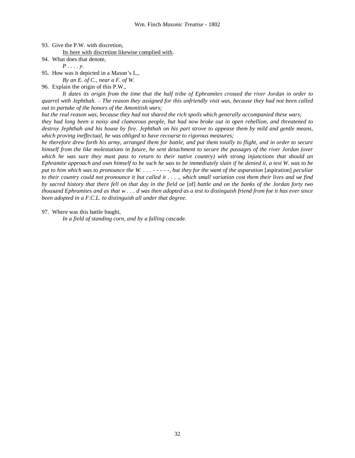93. Give the P.W. with discretion,

Its here with discretion likewise complied with.

94. What does that denote,

*P . . . . y.*

- 95. How was it depicted in a Mason's L., *By an E. of C., near a F. of W.*
- 96. Explain the origin of this P.W.,

*It dates its origin from the time that the half tribe of Ephramites crossed the river Jordan in order to quarrel with Jephthah. ± The reason they assigned for this unfriendly visit was, because they had not been called out to partake of the honors of the Amonitish wars;*

*but the real reason was, because they had not shared the rich spoils which generally accompanied these wars;*

*they had long been a noisy and clamorous people, but had now broke out in open rebellion, and threatened to destroy Jephthah and his house by fire. Jephthah on his part strove to appease them by mild and gentle means, which proving ineffectual, he was obliged to have recourse to rigorous measures;*

*he therefore drew forth his army, arranged them for battle, and put them totally to flight, and in order to secure himself from the like molestations in future, he sent detachment to secure the passages of the river Jordan (over which he was sure they must pass to return to their native country) with strong injunctions that should an Ephramite approach and own himself to be such he was to be immediately slain if he denied it, a test W. was to be put to him which was to pronounce the W. . . . - - - - -, but they for the want of the asparation* [aspiration] *peculiar to their country could not pronounce it but called it . . . ., which small variation cost them their lives and we find by sacred history that there fell on that day in the field oe* [of] *battle and on the banks of the Jordan forty two thousand Ephramites and as that w . . . d was then adopted as a test to distinguish friend from foe it has ever since been adopted in a F.C.L. to distinguish all under that degree.*

97. Where was this battle fought,

*In a field of standing corn, and by a falling cascade.*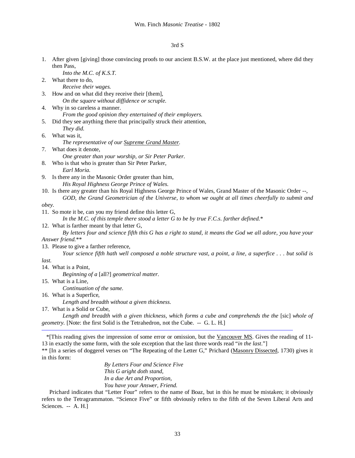#### 3rd S

| 1.    | After given [giving] those convincing proofs to our ancient B.S.W. at the place just mentioned, where did they<br>then Pass,                                                                                          |
|-------|-----------------------------------------------------------------------------------------------------------------------------------------------------------------------------------------------------------------------|
|       | Into the M.C. of $K.S.T.$                                                                                                                                                                                             |
| 2.    | What there to do,                                                                                                                                                                                                     |
|       | Receive their wages.                                                                                                                                                                                                  |
| 3.    | How and on what did they receive their [them],                                                                                                                                                                        |
|       | On the square without diffidence or scruple.                                                                                                                                                                          |
| 4.    | Why in so careless a manner.                                                                                                                                                                                          |
|       | From the good opinion they entertained of their employers.                                                                                                                                                            |
| 5.    | Did they see anything there that principally struck their attention,                                                                                                                                                  |
|       | They did.                                                                                                                                                                                                             |
| 6.    | What was it,                                                                                                                                                                                                          |
|       | The representative of our <b>Supreme Grand Master</b> .                                                                                                                                                               |
| 7.    | What does it denote,                                                                                                                                                                                                  |
|       | One greater than your worship, or Sir Peter Parker.                                                                                                                                                                   |
| 8.    | Who is that who is greater than Sir Peter Parker,                                                                                                                                                                     |
|       | Earl Moria.                                                                                                                                                                                                           |
|       | 9. Is there any in the Masonic Order greater than him,                                                                                                                                                                |
|       | His Royal Highness George Prince of Wales.                                                                                                                                                                            |
|       | 10. Is there any greater than his Royal Highness George Prince of Wales, Grand Master of the Masonic Order --,<br>GOD, the Grand Geometrician of the Universe, to whom we ought at all times cheerfully to submit and |
| obey. |                                                                                                                                                                                                                       |
|       | 11. So mote it be, can you my friend define this letter G,                                                                                                                                                            |
|       | In the M.C. of this temple there stood a letter $G$ to be by true F.C.s. farther defined.*                                                                                                                            |
|       | 12. What is farther meant by that letter G,                                                                                                                                                                           |
|       | By letters four and science fifth this G has a right to stand, it means the God we all adore, you have your                                                                                                           |
|       | Answer friend.**                                                                                                                                                                                                      |
|       | 13. Please to give a farther reference,                                                                                                                                                                               |
|       | Your science fifth hath well composed a noble structure vast, a point, a line, a superfice  but solid is                                                                                                              |
| last. |                                                                                                                                                                                                                       |
|       | 14. What is a Point,                                                                                                                                                                                                  |
|       | Beginning of a [all?] geometrical matter.                                                                                                                                                                             |
|       | 15. What is a Line,                                                                                                                                                                                                   |
|       | Continuation of the same.                                                                                                                                                                                             |
|       | 16. What is a Superfice,                                                                                                                                                                                              |
|       | Length and breadth without a given thickness.                                                                                                                                                                         |

17. What is a Solid or Cube,

Length and breadth with a given thickness, which forms a cube and comprehends the the [sic] whole of *geometry.* [Note: the first Solid is the Tetrahedron, not the Cube. -- G. L. H.]

 \*[This reading gives the impression of some error or omission, but the Vancouver MS. Gives the reading of 11- 13 in exactly the some form, with the sole exception that the last three words read "*in the last*."]

\*\* [In a series of doggerel verses on "The Repeating of the Letter G," Prichard (Masonry Dissected, 1730) gives it in this form:

> *By Letters Four and Science Five This G aright doth stand, In a due Art and Proportion, You have your Answer, Friend.*

 Prichard indicates that "Letter Four" refers to the name of Boaz, but in this he must be mistaken; it obviously refers to the Tetragrammaton. "Science Five" or fifth obviously refers to the fifth of the Seven Liberal Arts and Sciences. -- A. H.]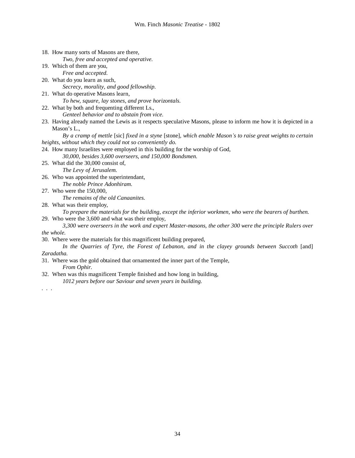- 18. How many sorts of Masons are there,
	- *Two, free and accepted and operative.*
- 19. Which of them are you, *Free and accepted.*
- 20. What do you learn as such,
	- *Secrecy, morality, and good fellowship.*
- 21. What do operative Masons learn, *To hew, square, lay stones, and prove horizontals.*
- 22. What by both and frequenting different Ls., *Genteel behavior and to abstain from vice.*
- 23. Having already named the Lewis as it respects speculative Masons, please to inform me how it is depicted in a Mason's L.,

*By a cramp of mettle* [sic] *fixed in a styne* [stone]*, which enable Mason¶s to raise great weights to certain heights, without which they could not so conveniently do.*

- 24. How many Israelites were employed in this building for the worship of God,
	- *30,000, besides 3,600 overseers, and 150,000 Bondsmen.*
- 25. What did the 30,000 consist of,  *The Levy of Jerusalem.*
- 26. Who was appointed the superintendant, *The noble Prince Adonhiram.*
- 27. Who were the 150,000,
	- *The remains of the old Canaanites.*
- 28. What was their employ,

*To prepare the materials for the building, except the inferior workmen, who were the bearers of burthen.* 29. Who were the 3,600 and what was their employ,

- *3,300 were overseers in the work and expert Master-masons, the other 300 were the principle Rulers over the whole.*
- 30. Where were the materials for this magnificent building prepared,

*In the Quarries of Tyre, the Forest of Lebanon, and in the clayey grounds between Succoth* [and] *Zaradatha.*

31. Where was the gold obtained that ornamented the inner part of the Temple,

*From Ophir.*

32. When was this magnificent Temple finished and how long in building, *1012 years before our Saviour and seven years in building.*

*. . .*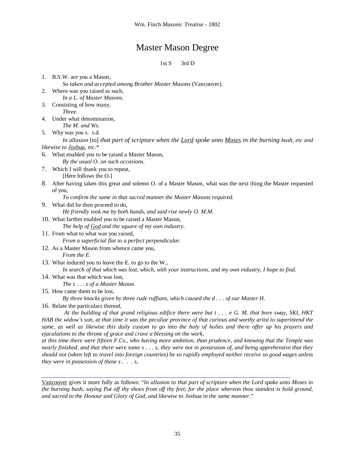# Master Mason Degree

#### 1st S 3rd D

| 1. | B.S.W. are you a Mason,                                                                                             |
|----|---------------------------------------------------------------------------------------------------------------------|
|    | So taken and accepted among Brother Master Masons (Vancouver).                                                      |
| 2. | Where was you raised as such,                                                                                       |
|    | In a L. of Master Masons.                                                                                           |
| 3. | Consisting of how many,                                                                                             |
|    | Three.                                                                                                              |
| 4. | Under what denomination,                                                                                            |
|    | The M. and Ws.                                                                                                      |
| 5. | Why was you s. s.d.                                                                                                 |
|    | In allusion [to] that part of scripture when the Lord spoke unto Moses in the burning bush, etc and                 |
|    | likewise to <b>Joshua</b> , etc.*                                                                                   |
|    | 6. What enabled you to be raised a Master Mason,                                                                    |
|    | By the usual O. on such occasions.                                                                                  |
| 7. | Which I will thank you to repeat,                                                                                   |
|    | [Here follows the O.]                                                                                               |
| 8. | After having taken this great and solemn O. of a Master Mason, what was the next thing the Master requested         |
|    | of you,                                                                                                             |
|    | To confirm the same in that sacred manner the Master Masons required.                                               |
|    | 9. What did he then proceed to do,                                                                                  |
|    | He friendly took me by both hands, and said rise newly O. M.M.                                                      |
|    | 10. What farther enabled you to be raised a Master Mason,                                                           |
|    | The help of God and the square of my own industry.                                                                  |
|    | 11. From what to what was you raised,                                                                               |
|    | From a superficial flat to a perfect perpendicular.                                                                 |
|    | 12. As a Master Mason from whence came you,                                                                         |
|    | From the E.                                                                                                         |
|    | 13. What induced you to leave the E. to go to the W.,                                                               |
|    | In search of that which was lost, which, with your instructions, and my own industry, I hope to find.               |
|    | 14. What was that which was lost,                                                                                   |
|    | The s s of a Master Mason.                                                                                          |
|    | 15. How came them to be lost,                                                                                       |
|    | By three knocks given by three rude ruffians, which caused the $d \ldots$ of our Master H.                          |
|    | 16. Relate the particulars thereof,                                                                                 |
|    | At the building of that grand religious edifice there were but $t \ldots e$ G. M. that bore sway, SKI, HKT          |
|    | HAB the widow's son, at that time it was the peculiar province of that curious and worthy artist to superintend the |
|    | same, as well as likewise this daily custom to go into the holy of holies and there offer up his prayers and        |
|    | ejaculations to the throne of grace and crave a blessing on the work,                                               |
|    | at this time theme were lifteen F.C. who howing mane quilitien than numbered and by quite that the Townlowger       |

*at this time there were fifteen F.Cs., who having more ambition, than prudence, and knowing that the Temple was nearly finished, and that there were some s . . . s, they were not in possession of, and being apprehensive that they should not (when left to travel into foreign countries) be so rapidly employed neither receive so good wages unless they were in possession of those s . . . s,*

Vancouver gives it more fully as follows: "*In allusion to that part of scripture when the Lord spake unto Moses in the burning bush, saying Put off thy shoes from off thy feet, for the place whereon thou standest is hold ground, and sacred to the Honour and Glory of God, and likewise to Joshua in the same manner.*"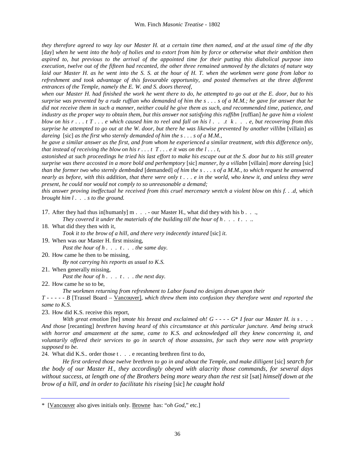*they therefore agreed to way lay our Master H. at a certain time then named, and at the usual time of the dby* [day] *when he went into the holy of holies and to extort from him by force or otherwise what their ambition then aspired to, but previous to the arrival of the appointed time for their putting this diabolical purpose into execution, twelve out of the fifteen had recanted, the other three remained unmoved by the dictates of nature way laid our Master H. as he went into the S. S. at the hour of H. T. when the workmen were gone from labor to refreshment and took advantage of this favourable opportunity, and posted themselves at the three different entrances of the Temple, namely the E. W. and S. doors thereof,*

*when our Master H. had finished the work he went there to do, he attempted to go out at the E. door, but to his surprise was prevented by a rude ruffian who demanded of him the s . . . s of a M.M.; he gave for answer that he did not receive them in such a manner, neither could he give them as such, and recommended time, patience, and industry as the proper way to obtain them, but this answer not satisfying this ruffibn* [ruffian] *he gave him a violent blow on his r . . . t T . . . e which caused him to reel and fall on his l . . .t k . . . e, but recovering from this surprise he attempted to go out at the W. door, but there he was likewise prevented by another villibn* [villain] *as dareing* [sic] *as the first who sternly demanded of him the s . . . s of a M.M.,*

*he gave a similar answer as the first, and from whom he experienced a similar treatment, with this difference only, that instead of receiving the blow on his r . . . t T . . . e it was on the l . . . t,*

*astonished at such proceedings he tried his last effort to make his escape out at the S. door but to his still greater surprise was there accosted in a more bold and perhemptory* [sic] *manner, by a villabn* [villain] *more dareing* [sic] *than the former two who sternly dembnded* [demanded] *of him the s . . . s of a M.M., to which request he answered nearly as before, with this addition, that there were only t . . . e in the world, who knew it, and unless they were present, he could nor would not comply to so unreasonable a demand;*

*this answer proving ineffectual he received from this cruel mercenary wretch a violent blow on this f. . .d, which brought him l . . . s to the ground.*

- 17. After they had thus in[humanly] m . . . our Master H., what did they with his b . . ., *They covered it under the materials of the building till the hour of h....*  $t.$ ...
- 18. What did they then with it,
	- *Took it to the brow of a hill, and there very indecently intured* [sic] *it.*
- 19. When was our Master H. first missing,

*Past the hour of h . . . t . . . the same day.*

- 20. How came he then to be missing, *By not carrying his reports as usual to K.S.*
- 21. When generally missing,

*Past the hour of h . . . t . . . the next day.*

22. How came he so to be,

*The workmen returning from refreshment to Labor found no designs drawn upon their*

*T - - - - - B* [Trassel Board – Vancouver]*, which threw them into confusion they therefore went and reported the same to K.S.*

23. How did K.S. receive this report,

*With great emotion* [he] *smote his breast and exclaimed oh! G - - - - G*\* *I fear our Master H. is s . . . And those* [recanting] *brethren having heard of this circumstance at this particular juncture. Amd being struck with horror and amazement at the same, came to K.S. and acknowledged all they knew concerning it, and voluntarily offered their services to go in search of those assassins, for such they were now with propriety supposed to be.*

24. What did K.S.. order those t . . . e recanting brethren first to do,

*He first ordered those twelve brethren to go in and about the Temple, and make dilligent* [sic] *search for the body of our Master H., they accordingly obeyed with alacrity those commands, for several days without success, at length one of the Brothers being more weary than the rest sit* [sat] *himself down at the brow of a hill, and in order to facilitate his riseing* [sic] *he caught hold*

<sup>\* [</sup>Vancouver also gives initials only. Browne has: "*oh God,*" etc.]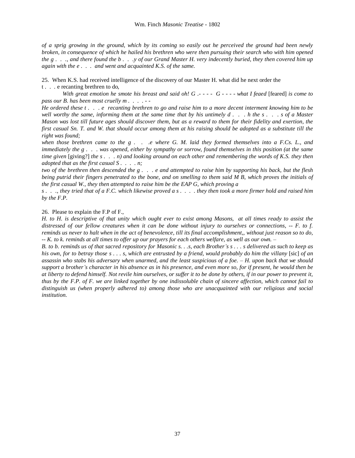*of a sprig growing in the ground, which by its coming so easily out he perceived the ground had been newly broken, in consequence of which he hailed his brethren who were then pursuing their search who with him opened the g . . ., and there found the b . . .y of our Grand Master H. very indecently buried, they then covered him up again with the e . . . and went and acquainted K.S. of the same.*

25. When K.S. had received intelligence of the discovery of our Master H. what did he next order the t . . . e recanting brethren to do,

*With great emotion he smote his breast and said oh! G .- - - - G - - - - what I feaed* [feared] *is come to pass our B. has been most cruelly m . . . . - -*

*He ordered these t . . . e recanting brethren to go and raise him to a more decent interment knowing him to be well worthy the same, informing them at the same time that by his untimely d . . . h the s . . . s of a Master Mason was lost till future ages should discover them, but as a reward to them for their fidelity and exertion, the first casual Sn. T. and W. that should occur among them at his raising should be adopted as a substitute till the right was found;*

*when those brethren came to the g . . .e where G. M. laid they formed themselves into a F.Cs. L., and immediately the g . . . was opened, either by sympathy or sorrow, found themselves in this position (at the same time given* [giving?] *the s . . . n) and looking around on each other and remembering the words of K.S. they then adopted that as the first casual S . . . . n;*

*two of the brethren then descended the g . . . e and attempted to raise him by supporting his back, but the flesh being putrid their fingers penetrated to the bone, and on smelling to them said M B, which proves the initials of the first casual W., they then attempted to raise him be the EAP G, which proving a*

*s . . ., they tried that of a F.C. which likewise proved a s . . . . they then took a more firmer hold and raised him by the F.P.*

26. Please to explain the F.P of F.,

*H. to H. is descriptive of that unity which ought ever to exist among Masons, at all times ready to assist the distressed of our fellow creatures when it can be done without injury to ourselves or connections, -- F. to f. reminds us never to halt when in the act of benevolence, till its final accomplishment,, without just reason so to do, -- K. to k. reminds at all times to offer up our prayers for each others welfare, as well as our own. ±*

*B. to b. reminds us of that sacred repository for Masonic s. . .s, each Brother¶s s . . . s delivered as such to keep as his own, for to betray those s . . . s, which are entrusted by a friend, would probably do him the villany* [sic] *of an assassin who stabs his adversary when unarmed, and the least suspicious of a foe.*  $-F$ *<i> H. upon back that we should support a brother¶s character in his absence as in his presence, and even more so, for if present, he would then be at liberty to defend himself. Not revile him ourselves, or suffer it to be done by others, if in our power to prevent it, thus by the F.P. of F. we are linked together by one indissoluble chain of sincere affection, which cannot fail to distinguish us (when properly adhered to) among those who are unacquainted with our religious and social institution.*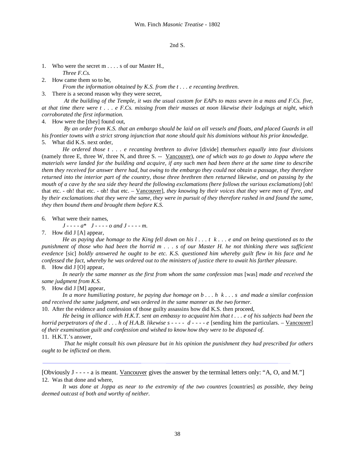2nd S.

- 1. Who were the secret m . . . . s of our Master H., *Three F.Cs.*
- 2. How came them so to be,

*From the information obtained by K.S. from the t . . . e recanting brethren.*

3. There is a second reason why they were secret,

 *At the building of the Temple, it was the usual custom for EAPs to mass seven in a mass and F.Cs. five, at that time there were t . . . e F.Cs. missing from their masses at noon likewise their lodgings at night, which corroborated the first information.*

4. How were the [they] found out,

 *By an order from K.S. that an embargo should be laid on all vessels and floats, and placed Guards in all his frontier towns with a strict strong injunction that none should quit his dominions without his prior knowledge.* 5. What did K.S. next order,

*He ordered those t . . . e recanting brethren to divive* [divide] *themselves equally into four divisions* (namely three E, three W, three N, and three S. -- Vancouver)*, one of which was to go down to Joppa where the materials were landed for the building and acquire, if any such men had been there at the same time to describe them they received for answer there had, but owing to the embargo they could not obtain a passage, they therefore returned into the interior part of the country, those three brethren then returned likewise, and on passing by the mouth of a cave by the sea side they heard the following exclamations (here follows the various exclamations)* [oh! that etc. - oh! that etc. - oh! that etc. – Vancouver]*, they knowing by their voices that they were men of Tyre, and by their exclamations that they were the same, they were in pursuit of they therefore rushed in and found the same, they then bound them and brought them before K.S.*

6. What were their names,

*J - - - - a*\* *J - - - - o and J - - - - m.*

7. How did J [A] appear,

*He as paying due homage to the King fell down on his l . . . t k . . . e and on being questioned as to the punishment of those who had been the horrid m . . . s of our Master H. he not thinking there was sufficient evedence* [sic] *boldly answered he ought to be etc. K.S. questioned him whereby guilt flew in his face and he confessed the fact, whereby he was ordered out to the ministers of justice there to await his farther pleasure.* 8. How did J [O] appear,

*In nearly the same manner as the first from whom the same confession mas* [was] *made and received the same judgment from K.S.*

9. How did J [M] appear,

*In a more humiliating posture, he paying due homage on b . . . h k . . . s and made a similar confession and received the same judgment, and was ordered in the same manner as the two former.*

10. After the evidence and confession of those guilty assassins how did K.S. then proceed,

*He being in alliance with H.K.T. sent an embassy to acquaint him that t . . . e of his subjects had been the horrid perpetrators of the d... h of H.A.B. likewise s - - - d - - - e* [sending him the particulars. – Vancouver] *of their examination guilt and confession and wished to know how they were to be disposed of.* 11. H.K.T.'s answer,

 *That he might consult his own pleasure but in his opinion the punishment they had prescribed for others ought to be inflicted on them.*

[Obviously J - - - - a is meant. Vancouver gives the answer by the terminal letters only: "A, O, and M."] 12. Was that done and where,

*It was done at Joppa as near to the extremity of the two countres* [countries] *as possible, they being deemed outcast of both and worthy of neither.*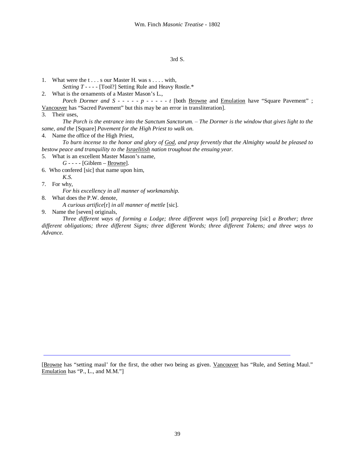#### 3rd S.

- 1. What were the t . . . s our Master H. was s . . . . with,
	- *Setting T - -* [Tool?] Setting Rule and Heavy Rostle.\*
- 2. What is the ornaments of a Master Mason's L.,
- *Porch Dormer and S - - p - - t* [both <u>Browne</u> and *Emulation* have "Square Pavement"; Vancouver has "Sacred Pavement" but this may be an error in transliteration].
- 3. Their uses,
- *The Porch is the entrance into the Sanctum Sanctorum. The Dormer is the window that gives light to the same, and the* [Square] *Pavement for the High Priest to walk on.*
- 4. Name the office of the High Priest,
- *To burn incense to the honor and glory of God, and pray fervently that the Almighty would be pleased to bestow peace and tranquility to the Israelitish nation troughout the ensuing year.*
- 5. What is an excellent Master Mason's name,
	- *G - -* [Giblem Browne].
- 6. Who confered [sic] that name upon him,
- *K.S.*
- 7. For why,
	- *For his excellency in all manner of workmanship.*
- 8. What does the P.W. denote,
	- *A curious artifice*[r] *in all manner of mettle* [sic].
- 9. Name the [seven] originals,

*Three different ways of forming a Lodge; three different ways* [of] *prepareing* [sic] *a Brother; three different obligations; three different Signs; three different Words; three different Tokens; and three ways to Advance.*

[Browne has "setting maul' for the first, the other two being as given. Vancouver has "Rule, and Setting Maul." Emulation has "P., L., and M.M."]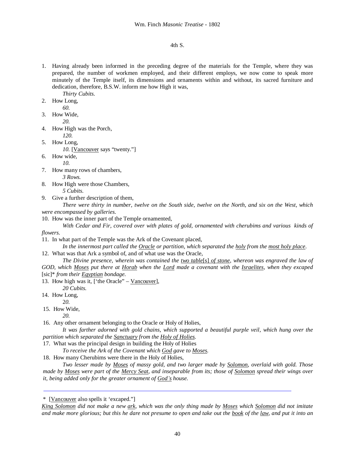#### 4th S.

- 1. Having already been informed in the preceding degree of the materials for the Temple, where they was prepared, the number of workmen employed, and their different employs, we now come to speak more minutely of the Temple itself, its dimensions and ornaments within and without, its sacred furniture and dedication, therefore, B.S.W. inform me how High it was,
- *Thirty Cubits.* 2. How Long,
	- *60.*
- 3. How Wide,
	- *20.*
- 4. How High was the Porch, *120.*
- 5. How Long,
	- 10. [Vancouver says "twenty."]
- 6. How wide,
	- *10.*
- 7. How many rows of chambers, *3 Rows.*
- 8. How High were those Chambers, *5 Cubits.*
- 9. Give a further description of them,

*There were thirty in number, twelve on the South side, twelve on the North, and six on the West, which were encompassed by galleries.*

10. How was the inner part of the Temple ornamented,

*With Cedar and Fir, covered over with plates of gold, ornamented with cherubims and various kinds of flowers.*

- 11. In what part of the Temple was the Ark of the Covenant placed,
- *In the innermost part called the Oracle or partition, which separated the holy from the most holy place.*
- 12. What was that Ark a symbol of, and of what use was the Oracle, *The Divine presence, wherein was contained the two table*[s] *of stone, whereon was engraved the law of*

*GOD, which Moses put there at Horab when the Lord made a covenant with the Israelites, when they excaped* [sic]\* *from their Egyptian bondage.*

- 13. How high was it, ['the Oracle" Vancouver],
	- *20 Cubits.*
- 14. How Long, 2*0.*
- 15. How Wide,
	- *20.*
- 16. Any other ornament belonging to the Oracle or Holy of Holies,

 *It was farther adorned with gold chains, which supported a beautiful purple veil, which hung over the partition which separated the Sanctuary from the Holy of Holies.*

17. What was the principal design in building the Holy of Holies

*To receive the Ark of the Covenant which God gave to Moses.*

18. How many Cherubims were there in the Holy of Holies,

*Two lesser made by Moses of massy gold, and two larger made by Solomon, overlaid with gold. Those made by Moses were part of the Mercy Seat, and inseparable from its; those of Solomon spread their wings over it, being added only for the greater ornament of God's house.* 

<sup>\* [</sup>Vancouver also spells it 'excaped."]

*King Solomon did not make a new ark, which was the only thing made by Moses which Solomon did not imitate and make more glorious; but this he dare not presume to open and take out the book of the law, and put it into an*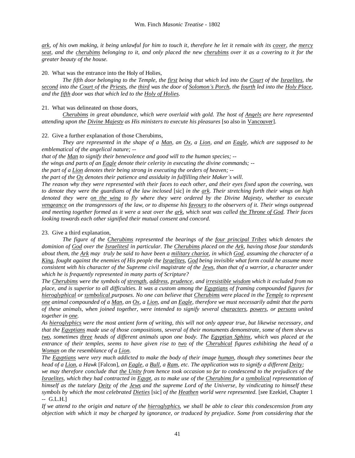*ark, of his own making, it being unlawful for him to touch it, therefore he let it remain with its cover, the mercy seat, and the cherubims belonging to it, and only placed the new cherubims over it as a covering to it for the greater beauty of the house.*

20. What was the entrance into the Holy of Holies,

*The fifth door belonging to the Temple, the first being that which led into the Court of the Israelites, the second into the Court of the Priests, the third was the door of Solomon¶s Porch, the fourth led into the Holy Place, and the fifth door was that which led to the Holy of Holies.*

#### 21. What was delineated on those doors,

*Cherubims in great abundance, which were overlaid with gold. The host of Angels are here represented attending upon the Divine Majesty as His ministers to execute his pleasures* [so also in Vancouver].

22. Give a further explanation of those Cherubims,

*They are represented in the shape of a Man, an Ox, a Lion, and an Eagle, which are supposed to be emblematical of the angelical nature; --*

*that of the Man to signify their benevolence and good will to the human species; --*

*the wings and parts of an Eagle denote their celerity in executing the divine commands; --*

*the part of a Lion denotes their being strong in executing the orders of heaven; --*

*the part of the*  $Qx$  *denotes their patience and assiduity in fulfilling their Maker's will.* 

*The reason why they were represented with their faces to each other, and their eyes fixed upon the covering, was to denote they were the guardians of the law inclosed* [sic] *in the ark. Their stretching forth their wings on high denoted they were on the wing to fly where they were ordered by the Divine Majesty, whether to execute vengeance on the transgressors of the law, or to dispense his favours to the observers of it. Their wings outspread and meeting together formed as it were a seat over the ark, which seat was called the Throne of God. Their faces looking towards each other signified their mutual consent and concord.*

#### 23. Give a third explanation,

*The figure of the Cherubims represented the bearings of the four principal Tribes which denotes the dominion of God over the Israelitesl in particular. The Cherubims placed on the Ark, having those four standards about them, the Ark may truly be said to have been a military chariot, in which God, assuming the character of a King, fought against the enemies of His people the Israelites, God being invisible what form could he assume more consistent with his character of the Supreme civil magistrate of the Jews, than that of a warrior, a character under which he is frequently represented in many parts of Scripture?*

*The Cherubims were the symbols of strength, address, prudence, and irresistible wisdom which it excluded from no place, and is superior to all difficulties. It was a custom among the Egyptians of framing compounded figures for hieroglyphical or symbolical purposes. No one can believe that Cherubims were placed in the Temple to represent one animal compounded of a Man, an Ox, a Lion, and an Eagle, therefore we must necessarily admit that the parts of these animals, when joined together, were intended to signify several characters, powers, or persons united together in one.*

*As hieroglyphics were the most antient form of writing, this will not only appear true, but likewise necessary, and that the Egyptians made use of those compositions, several of their monuments demonstrate, some of them shew us two, sometimes three heads of different animals upon one body. The Egyptian Sphinx, which was placed at the entrance of their temples, seems to have given rise to two of the Cherubical figures exhibiting the head of a Woman on the resemblance of a Lion.*

*The Egyptians were very much addicted to make the body of their image human, though they sometimes bear the head of a Lion, a Hawk* [Falcon]*, an Eagle, a Bull, a Ram, etc. The application was to signify a different Deity;*

*we may therefore conclude that the Unity from hence took occasion so far to condescend to the prejudices of the Israelites, which they had contracted in Egypt, as to make use of the Cherubims for a symbolical representation of himself as the tutelary Deity of the Jews and the supreme Lord of the Universe, by vindicating to himself these symbols by which the most celebrated Dieties* [sic] *of the Heathen world were represented.* [see Ezekiel, Chapter 1  $-$  G.L.H.]

*If we attend to the origin and nature of the hieroglyphics, we shall be able to clear this condescension from any objection with which it may be charged by ignorance, or traduced by prejudice. Some from considering that the*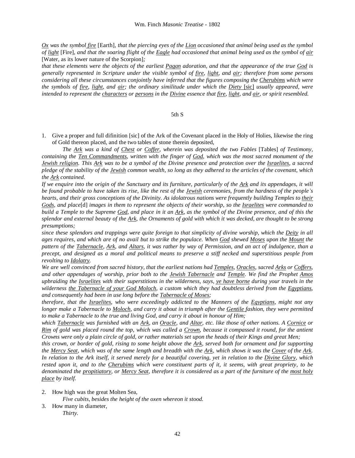*Ox was the symbol fire* [Earth]*, that the piercing eyes of the Lion occasioned that animal being used as the symbol of light* [Fire]*, and that the soaring flight of the Eagle had occasioned that animal being used as the symbol of air* [Water, as its lower nature of the Scorpion]*;*

*that these elements were the objects of the earliest Pagan adoration, and that the appearance of the true God is generally represented in Scripture under the visible symbol of fire, light, and air; therefore from some persons considering all these circumstances conjointly have inferred that the figures composing the Cherubims which were the symbols of fire, light, and air; the ordinary similitude under which the Diety* [sic] *usually appeared, were intended to represent the characters or persons in the Divine essence that fire, light, and air, or spirit resembled.*

#### 5th S

1. Give a proper and full difinition [sic] of the Ark of the Covenant placed in the Holy of Holies, likewise the ring of Gold thereon placed, and the two tables of stone therein deposited,

*The Ark was a kind of Chest or Coffer, wherein was deposited the two Fables* [Tables] *of Testimony, containing the Ten Commandments, written with the finger of God, which was the most sacred monument of the Jewish religion. This Ark was to be a symbol of the Divine presence and protection over the Israelites, a sacred pledge of the stability of the Jewish common wealth, so long as they adhered to the articles of the covenant, which the Ark contained.*

*If we enquire into the origin of the Sanctuary and its furniture, particularly of the Ark and its appendages, it will be found probable to have taken its rise, like the rest of the <u>Jewish</u> ceremonies, from the hardness of the people's hearts, and their gross conceptions of the Divinity. As idolatrous nations were frequently building Temples to their Gods, and place*[d] *images in them to represent the objects of their worship, so the Israelites were commanded to build a Temple to the Supreme God, and place in it an Ark, as the symbol of the Divine presence, and of this the splendor and external beauty of the Ark, the Ornaments of gold with which it was decked, are thought to be strong presumptions;*

*since these splendors and trappings were quite foreign to that simplicity of divine worship, which the Deity in all ages requires, and which are of no avail but to strike the populace. When God shewed Moses upon the Mount the pattern of the Tabernacle, Ark, and Altars, it was rather by way of Permission, and an act of indulgence, than a precept, and designed as a moral and political means to preserve a stiff necked and superstitious people from revolting to Idolatry.*

*We are well convinced from sacred history, that the earliest nations had Temples, Oracles, sacred Arks or Coffers, and other appendages of worship, prior both to the Jewish Tabernacle and Temple. We find the Prophet Amos upbraiding the Israelites with their superstitions in the wilderness, says, ye have borne during your travels in the wilderness the Tabernacle of your God Moloch, a custom which they had doubtless derived from the Egyptians, and consequently had been in use long before the Tabernacle of Moses;*

*therefore, that the Israelites, who were exceedingly addicted to the Manners of the Egyptians, might not any longer make a Tabernacle to Moloch, and carry it about in triumph after the Gentile fashion, they were permitted to make a Tabernacle to the true and living God, and carry it about in honour of Him;*

*which Tabernacle was furnished with an Ark, an Oracle, and Altar, etc. like those of other nations. A Cornice or Rim of gold was placed round the top, which was called a Crown, because it compassed it round, for the antient Crowns were only a plain circle of gold, or rather materials set upon the heads of their Kings and great Men;*

*this crown, or border of gold, rising to some height above the Ark, served both for ornament and for supporting the Mercy Seat, which was of the same length and breadth with the Ark, which shows it was the Cover of the Ark. In relation to the Ark itself, it served merely for a beautiful covering, yet in relation to the Divine Glory, which rested upon it, and to the Cherubims which were constituent parts of it, it seems, with great propriety, to be denominated the propitiatory, or Mercy Seat, therefore it is considered as a part of the furniture of the most holy place by itself.*

2. How high was the great Molten Sea,

*Five cubits, besides the height of the oxen whereon it stood.*

3. How many in diameter, *Thirty.*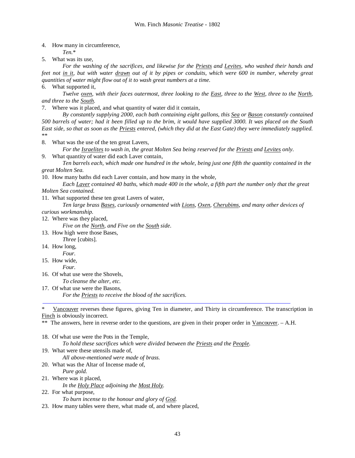4. How many in circumference,

*Ten.*\*

5. What was its use,

*For the washing of the sacrifices, and likewise for the Priests and Levites, who washed their hands and feet not in it, but with water drawn out of it by pipes or conduits, which were 600 in number, whereby great quantities of water might flow out of it to wash great numbers at a time.*

6. What supported it,

*Twelve oxen, with their faces outermost, three looking to the East, three to the West, three to the North, and three to the South.*

7. Where was it placed, and what quantity of water did it contain,

*By constantly supplying 2000, each bath containing eight gallons, this Sea or Bason constantly contained 500 barrels of water; had it been filled up to the brim, it would have supplied 3000. It was placed on the South East side, so that as soon as the Priests entered, (which they did at the East Gate) they were immediately supplied.* \*\*

- 8. What was the use of the ten great Lavers,
	- *For the Israelites to wash in, the great Molten Sea being reserved for the Priests and Levites only.*
- 9. What quantity of water did each Laver contain,

*Ten barrels each, which made one hundred in the whole, being just one fifth the quantity contained in the great Molten Sea.*

10. How many baths did each Laver contain, and how many in the whole,

*Each Laver contained 40 baths, which made 400 in the whole, a fifth part the number only that the great Molten Sea contained.*

11. What supported these ten great Lavers of water,

*Ten large brass Bases, curiously ornamented with Lions, Oxen, Cherubims, and many other devices of curious workmanship.*

12. Where was they placed,

*Five on the North, and Five on the South side.*

- 13. How high were those Bases, *Three* [cubits].
- 14. How long,
- *Four.*
- 15. How wide, *Four.*
- 16. Of what use were the Shovels, *To cleanse the alter, etc.*
- 17. Of what use were the Basons, *For the Priests to receive the blood of the sacrifices.*

Vancouver reverses these figures, giving Ten in diameter, and Thirty in circumference. The transcription in Finch is obviously incorrect.

- \*\* The answers, here in reverse order to the questions, are given in their proper order in <u>Vancouver</u>. A.H.
- 18. Of what use were the Pots in the Temple,

*To hold these sacrifices which were divided between the Priests and the People.*

- 19. What were these utensils made of, *All above-mentioned were made of brass.*
- 20. What was the Altar of Incense made of,

*Pure gold.*

21. Where was it placed, *In the Holy Place adjoining the Most Holy.*

22. For what purpose, *To burn incense to the honour and glory of God.*

23. How many tables were there, what made of, and where placed,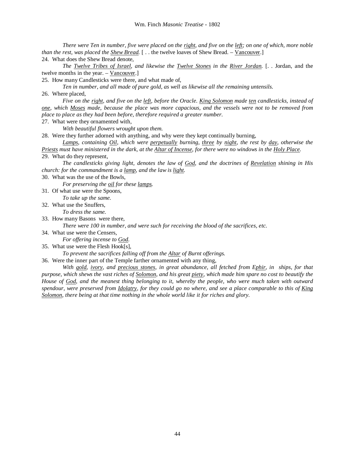*There were Ten in number, five were placed on the right, and five on the left; on one of which, more noble than the rest, was placed the Shew Bread.* [..the twelve loaves of Shew Bread. – Vancouver.]

24. What does the Shew Bread denote,

*The Twelve Tribes of Israel, and likewise the Twelve Stones in the River Jordan.* [. . Jordan, and the twelve months in the year.  $-\underline{V}$ ancouver.]

25. How many Candlesticks were there, and what made of,

*Ten in number, and all made of pure gold, as well as likewise all the remaining untensils.*

26. Where placed,

*Five on the right, and five on the left, before the Oracle. King Solomon made ten candlesticks, instead of one, which Moses made, because the place was more capacious, and the vessels were not to be removed from place to place as they had been before, therefore required a greater number.*

27. What were they ornamented with,

*With beautiful flowers wrought upon them.*

28. Were they further adorned with anything, and why were they kept continually burning,

*Lamps, containing Oil, which were perpetually burning, three by night, the rest by day, otherwise the Priests must have ministered in the dark, at the Altar of Incense, for there were no windows in the Holy Place.*

29. What do they represent,

*The candlesticks giving light, denotes the law of God, and the doctrines of Revelation shining in His church: for the commandment is a lamp, and the law is light.*

30. What was the use of the Bowls,

*For preserving the oil for these lamps.*

- 31. Of what use were the Spoons,
- *To take up the same.* 32. What use the Snuffers,

*To dress the same.*

33. How many Basons were there,

*There were 100 in number, and were such for receiving the blood of the sacrifices, etc.*

- 34. What use were the Censers, *For offering incense to God.*
- 35. What use were the Flesh Hook[s],

*To prevent the sacrifices falling off from the Altar of Burnt offerings.*

36. Were the inner part of the Temple farther ornamented with any thing,

 *With gold, ivory, and precious stones, in great abundance, all fetched from Ephir, in ships, for that purpose, which shews the vast riches of Solomon, and his great piety, which made him spare no cost to beautify the House of God, and the meanest thing belonging to it, whereby the people, who were much taken with outward spendour, were preserved from Idolatry, for they could go no where, and see a place comparable to this of King Solomon, there being at that time nothing in the whole world like it for riches and glory.*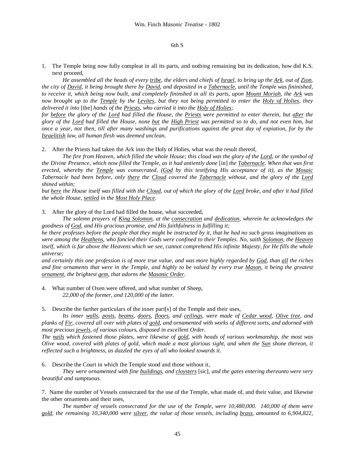#### 6th S

1. The Temple being now fully compleat in all its parts, and nothing remaining but its dedication, how did K.S. next proceed,

*He assembled all the heads of every tribe, the elders and chiefs of Israel, to bring up the Ark, out of Zion, the city of David, it being brought there by David, and deposited in a Tabernacle, until the Temple was fininished, to receive it, which being now built, and completely fininshed in all its parts, upon Mount Moriah, the Ark was now brought up to the Temple by the Levites, but they not being permitted to enter the Holy of Holies, they delivered it into* [the] *hands of the Priests, who carried it into the Holy of Holies;*

*for before the glory of the Lord had filled the House, the Priests were permitted to enter therein, but after the glory of the Lord had filled the House, none but the High Priest was permitted so to do, and not even him, but once a year, not then, till after many washings and purifications against the great day of expiation, for by the Israelitish law, all human flesh was deemed unclean.*

2. After the Priests had taken the Ark into the Holy of Holies, what was the result thereof,

*The fire from Heaven, which filled the whole House; this cloud was the glory of the Lord, or the symbol of the Divine Presence, which now filled the Temple, as it had antiently done* [in] *the Tabernacle. When that was first erected, whereby the Temple was consecrated, (God by this testifying His acceptance of it), as the Mosaic Tabernacle had been before, only there the Cloud covered the Tabernacle without, and the glory of the Lord shined within;*

*but here the House itself was filled with the Cloud, out of which the glory of the Lord broke, and after it had filled the whole House, settled in the Most Holy Place.*

3. After the glory of the Lord had filled the house, what succeeded,

*The solemn prayers of King Solomon, at the consecration and dedication, wherein he acknowledges the goodness of God, and His gracious promise, and His faithfulness in fulfilling it;*

*he there professes before the people that they might be instructed by it, that he had no such gross imaginations as were among the Heathens, who fancied their Gods were confined to their Temples. No, saith Solomon, the Heaven itself, which is far above the Heavens which we see, cannot comprehend His infinite Majesty, for He fills the whole universe;*

*and certainly this one profession is of more true value, and was more highly regarded by God, than all the riches and fine ornaments that were in the Temple, and highly to be valued by every true Mason, it being the greatest ornament, the brightest gem, that adorns the Masonic Order.*

4. What number of Oxen were offered, and what number of Sheep, *22,000 of the former, and 120,000 of the latter.*

5. Describe the farther particulars of the inner part[s] of the Temple and their uses,

*Its inner walls, posts, beams, doors, floors, and ceilings, were made of Cedar wood, Olive tree, and planks of Fir, covered all over with plates of gold, and ornamented with works of different sorts, and adorned with most precious jewels, of various colours, disposed in excellent Order.*

*The nails which fastened those plates, were likewise of gold, with heads of various workmanship, the most was Olive wood, covered with plates of gold, which made a most glorious sight, and when the Sun shone thereon, it reflected such a brightness, as dazzled the eyes of all who looked towards it.*

6. Describe the Court in which the Temple stood and those without it,

*They were ornamented with fine buildings, and cloysters* [sic]*, and the gates entering thereunto were very beautiful and sumptuous.*

7. Name the number of Vessels consecrated for the use of the Temple, what made of, and their value, and likewise the other ornaments and their uses,

*The number of vessels consecrated for the use of the Temple, were 10,480,000. 140,000 of them were gold, the remaining 10,340,000 were silver, the value of those vessels, including brass, amounted to 6,904,822,*